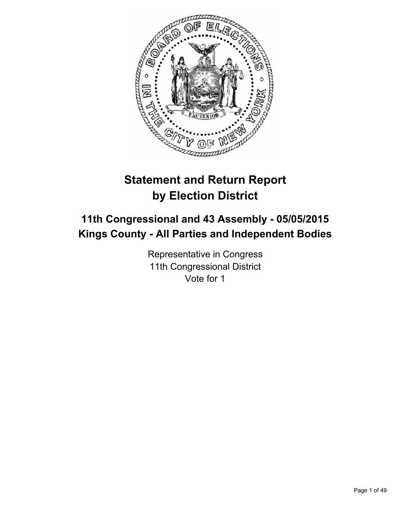

# **Statement and Return Report by Election District**

# **11th Congressional and 43 Assembly - 05/05/2015 Kings County - All Parties and Independent Bodies**

Representative in Congress 11th Congressional District Vote for 1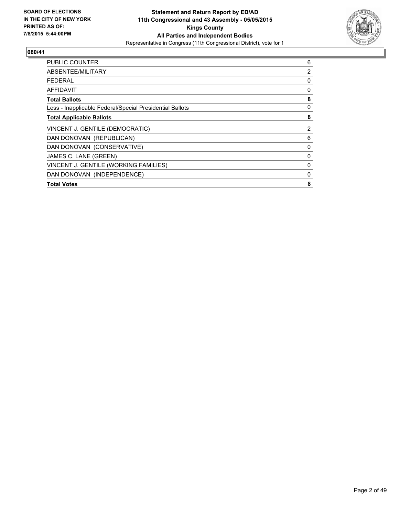

| <b>PUBLIC COUNTER</b>                                    | 6 |
|----------------------------------------------------------|---|
| ABSENTEE/MILITARY                                        | 2 |
| <b>FEDERAL</b>                                           | 0 |
| AFFIDAVIT                                                | 0 |
| <b>Total Ballots</b>                                     | 8 |
| Less - Inapplicable Federal/Special Presidential Ballots | 0 |
| <b>Total Applicable Ballots</b>                          | 8 |
| VINCENT J. GENTILE (DEMOCRATIC)                          | 2 |
| DAN DONOVAN (REPUBLICAN)                                 | 6 |
| DAN DONOVAN (CONSERVATIVE)                               | 0 |
| JAMES C. LANE (GREEN)                                    | 0 |
| VINCENT J. GENTILE (WORKING FAMILIES)                    | 0 |
| DAN DONOVAN (INDEPENDENCE)                               | 0 |
| <b>Total Votes</b>                                       | 8 |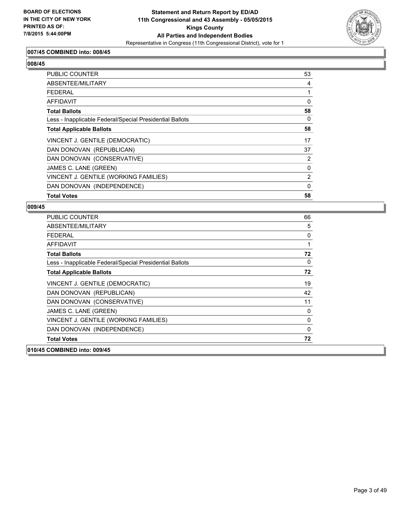

## **007/45 COMBINED into: 008/45**

# **008/45**

| <b>PUBLIC COUNTER</b>                                    | 53       |
|----------------------------------------------------------|----------|
| ABSENTEE/MILITARY                                        | 4        |
| <b>FEDERAL</b>                                           |          |
| <b>AFFIDAVIT</b>                                         | $\Omega$ |
| <b>Total Ballots</b>                                     | 58       |
| Less - Inapplicable Federal/Special Presidential Ballots | 0        |
| <b>Total Applicable Ballots</b>                          | 58       |
| VINCENT J. GENTILE (DEMOCRATIC)                          | 17       |
| DAN DONOVAN (REPUBLICAN)                                 | 37       |
| DAN DONOVAN (CONSERVATIVE)                               | 2        |
| JAMES C. LANE (GREEN)                                    | 0        |
| VINCENT J. GENTILE (WORKING FAMILIES)                    | 2        |
| DAN DONOVAN (INDEPENDENCE)                               | 0        |
| <b>Total Votes</b>                                       | 58       |

| <b>PUBLIC COUNTER</b>                                    | 66           |
|----------------------------------------------------------|--------------|
| ABSENTEE/MILITARY                                        | 5            |
| <b>FEDERAL</b>                                           | 0            |
| <b>AFFIDAVIT</b>                                         | 1            |
| <b>Total Ballots</b>                                     | 72           |
| Less - Inapplicable Federal/Special Presidential Ballots | $\mathbf{0}$ |
| <b>Total Applicable Ballots</b>                          | 72           |
| VINCENT J. GENTILE (DEMOCRATIC)                          | 19           |
| DAN DONOVAN (REPUBLICAN)                                 | 42           |
| DAN DONOVAN (CONSERVATIVE)                               | 11           |
| JAMES C. LANE (GREEN)                                    | 0            |
| VINCENT J. GENTILE (WORKING FAMILIES)                    | 0            |
| DAN DONOVAN (INDEPENDENCE)                               | $\mathbf{0}$ |
| <b>Total Votes</b>                                       | 72           |
| 010/45 COMBINED into: 009/45                             |              |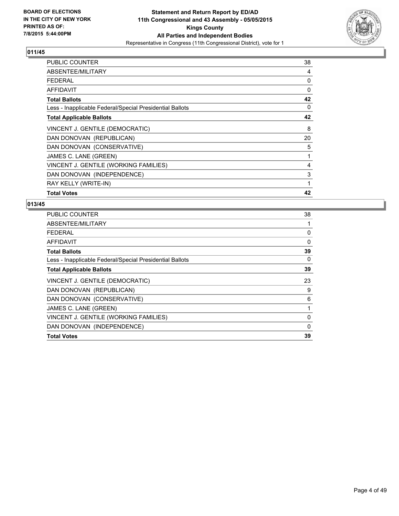

| <b>PUBLIC COUNTER</b>                                    | 38 |
|----------------------------------------------------------|----|
| ABSENTEE/MILITARY                                        | 4  |
| <b>FEDERAL</b>                                           | 0  |
| <b>AFFIDAVIT</b>                                         | 0  |
| <b>Total Ballots</b>                                     | 42 |
| Less - Inapplicable Federal/Special Presidential Ballots | 0  |
| <b>Total Applicable Ballots</b>                          | 42 |
| VINCENT J. GENTILE (DEMOCRATIC)                          | 8  |
| DAN DONOVAN (REPUBLICAN)                                 | 20 |
| DAN DONOVAN (CONSERVATIVE)                               | 5  |
| JAMES C. LANE (GREEN)                                    | 1  |
| VINCENT J. GENTILE (WORKING FAMILIES)                    | 4  |
| DAN DONOVAN (INDEPENDENCE)                               | 3  |
| RAY KELLY (WRITE-IN)                                     | 1  |
| <b>Total Votes</b>                                       | 42 |

| <b>PUBLIC COUNTER</b>                                    | 38          |
|----------------------------------------------------------|-------------|
| ABSENTEE/MILITARY                                        | 1           |
| FEDERAL                                                  | 0           |
| AFFIDAVIT                                                | $\mathbf 0$ |
| <b>Total Ballots</b>                                     | 39          |
| Less - Inapplicable Federal/Special Presidential Ballots | 0           |
| <b>Total Applicable Ballots</b>                          | 39          |
| VINCENT J. GENTILE (DEMOCRATIC)                          | 23          |
| DAN DONOVAN (REPUBLICAN)                                 | 9           |
| DAN DONOVAN (CONSERVATIVE)                               | 6           |
| JAMES C. LANE (GREEN)                                    | 1           |
| VINCENT J. GENTILE (WORKING FAMILIES)                    | 0           |
| DAN DONOVAN (INDEPENDENCE)                               | $\Omega$    |
| <b>Total Votes</b>                                       | 39          |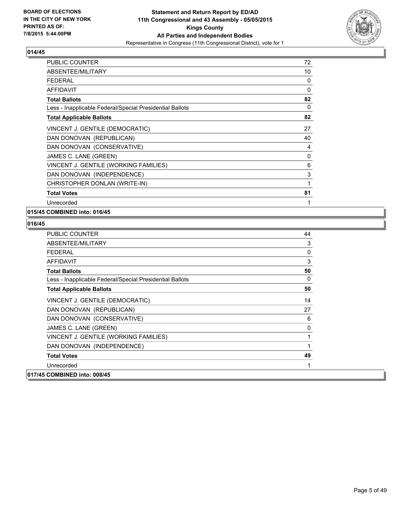

| <b>PUBLIC COUNTER</b>                                    | 72       |
|----------------------------------------------------------|----------|
| ABSENTEE/MILITARY                                        | 10       |
| <b>FEDERAL</b>                                           | 0        |
| <b>AFFIDAVIT</b>                                         | $\Omega$ |
| <b>Total Ballots</b>                                     | 82       |
| Less - Inapplicable Federal/Special Presidential Ballots | 0        |
| <b>Total Applicable Ballots</b>                          | 82       |
| VINCENT J. GENTILE (DEMOCRATIC)                          | 27       |
| DAN DONOVAN (REPUBLICAN)                                 | 40       |
| DAN DONOVAN (CONSERVATIVE)                               | 4        |
| JAMES C. LANE (GREEN)                                    | 0        |
| VINCENT J. GENTILE (WORKING FAMILIES)                    | 6        |
| DAN DONOVAN (INDEPENDENCE)                               | 3        |
| CHRISTOPHER DONLAN (WRITE-IN)                            | 1        |
| <b>Total Votes</b>                                       | 81       |
| Unrecorded                                               | 1        |

## **015/45 COMBINED into: 016/45**

| <b>PUBLIC COUNTER</b>                                    | 44           |
|----------------------------------------------------------|--------------|
| ABSENTEE/MILITARY                                        | 3            |
| <b>FFDFRAL</b>                                           | $\mathbf{0}$ |
| <b>AFFIDAVIT</b>                                         | 3            |
| <b>Total Ballots</b>                                     | 50           |
| Less - Inapplicable Federal/Special Presidential Ballots | 0            |
| <b>Total Applicable Ballots</b>                          | 50           |
| VINCENT J. GENTILE (DEMOCRATIC)                          | 14           |
| DAN DONOVAN (REPUBLICAN)                                 | 27           |
| DAN DONOVAN (CONSERVATIVE)                               | 6            |
| JAMES C. LANE (GREEN)                                    | 0            |
| VINCENT J. GENTILE (WORKING FAMILIES)                    | 1            |
| DAN DONOVAN (INDEPENDENCE)                               | 1            |
| <b>Total Votes</b>                                       | 49           |
| Unrecorded                                               |              |
| 017/45 COMBINED into: 008/45                             |              |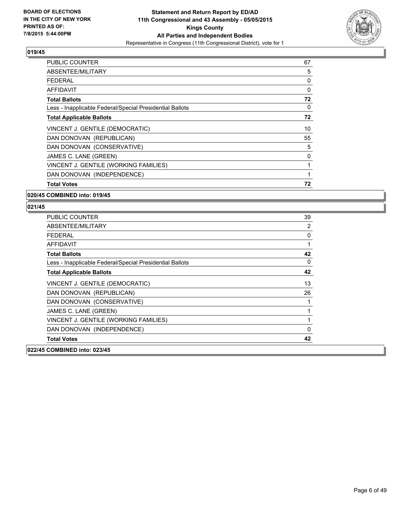

| <b>PUBLIC COUNTER</b>                                    | 67 |
|----------------------------------------------------------|----|
| ABSENTEE/MILITARY                                        | 5  |
| <b>FEDERAL</b>                                           | 0  |
| AFFIDAVIT                                                | 0  |
| <b>Total Ballots</b>                                     | 72 |
| Less - Inapplicable Federal/Special Presidential Ballots | 0  |
| <b>Total Applicable Ballots</b>                          | 72 |
| VINCENT J. GENTILE (DEMOCRATIC)                          | 10 |
| DAN DONOVAN (REPUBLICAN)                                 | 55 |
| DAN DONOVAN (CONSERVATIVE)                               | 5  |
| JAMES C. LANE (GREEN)                                    | 0  |
| VINCENT J. GENTILE (WORKING FAMILIES)                    | 1  |
| DAN DONOVAN (INDEPENDENCE)                               |    |
| <b>Total Votes</b>                                       | 72 |

#### **020/45 COMBINED into: 019/45**

| <b>PUBLIC COUNTER</b>                                    | 39           |
|----------------------------------------------------------|--------------|
| ABSENTEE/MILITARY                                        | 2            |
| FFDFRAI                                                  | 0            |
| <b>AFFIDAVIT</b>                                         | 1            |
| <b>Total Ballots</b>                                     | 42           |
| Less - Inapplicable Federal/Special Presidential Ballots | 0            |
| <b>Total Applicable Ballots</b>                          | 42           |
| VINCENT J. GENTILE (DEMOCRATIC)                          | 13           |
| DAN DONOVAN (REPUBLICAN)                                 | 26           |
| DAN DONOVAN (CONSERVATIVE)                               | 1            |
| JAMES C. LANE (GREEN)                                    | 1            |
| VINCENT J. GENTILE (WORKING FAMILIES)                    | 1            |
| DAN DONOVAN (INDEPENDENCE)                               | $\mathbf{0}$ |
| <b>Total Votes</b>                                       | 42           |
| 022/45 COMBINED into: 023/45                             |              |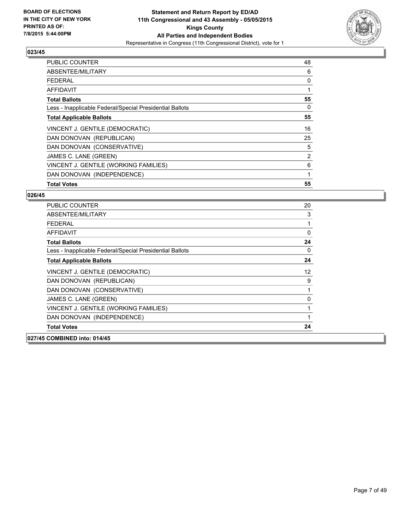

| <b>PUBLIC COUNTER</b>                                    | 48 |
|----------------------------------------------------------|----|
| ABSENTEE/MILITARY                                        | 6  |
| <b>FEDERAL</b>                                           | 0  |
| AFFIDAVIT                                                | 1  |
| <b>Total Ballots</b>                                     | 55 |
| Less - Inapplicable Federal/Special Presidential Ballots | 0  |
| <b>Total Applicable Ballots</b>                          | 55 |
| VINCENT J. GENTILE (DEMOCRATIC)                          | 16 |
| DAN DONOVAN (REPUBLICAN)                                 | 25 |
| DAN DONOVAN (CONSERVATIVE)                               | 5  |
| JAMES C. LANE (GREEN)                                    | 2  |
| VINCENT J. GENTILE (WORKING FAMILIES)                    | 6  |
| DAN DONOVAN (INDEPENDENCE)                               | 1  |
| <b>Total Votes</b>                                       | 55 |

| <b>PUBLIC COUNTER</b>                                    | 20           |
|----------------------------------------------------------|--------------|
| ABSENTEE/MILITARY                                        | 3            |
| <b>FEDERAL</b>                                           | $\mathbf{1}$ |
| <b>AFFIDAVIT</b>                                         | $\mathbf{0}$ |
| <b>Total Ballots</b>                                     | 24           |
| Less - Inapplicable Federal/Special Presidential Ballots | $\mathbf{0}$ |
| <b>Total Applicable Ballots</b>                          | 24           |
| VINCENT J. GENTILE (DEMOCRATIC)                          | 12           |
| DAN DONOVAN (REPUBLICAN)                                 | 9            |
| DAN DONOVAN (CONSERVATIVE)                               | 1            |
| JAMES C. LANE (GREEN)                                    | 0            |
| VINCENT J. GENTILE (WORKING FAMILIES)                    | 1            |
| DAN DONOVAN (INDEPENDENCE)                               | $\mathbf{1}$ |
| <b>Total Votes</b>                                       | 24           |
| 027/45 COMBINED into: 014/45                             |              |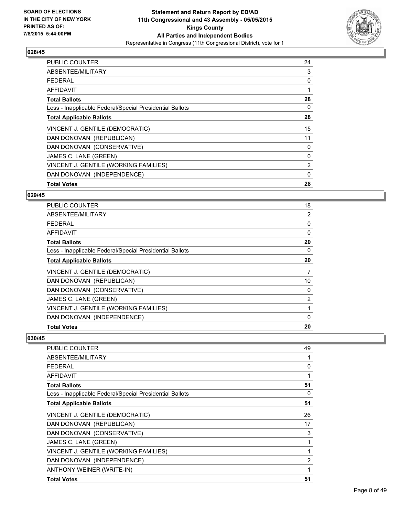

| <b>PUBLIC COUNTER</b>                                    | 24             |
|----------------------------------------------------------|----------------|
| ABSENTEE/MILITARY                                        | 3              |
| <b>FEDERAL</b>                                           | 0              |
| AFFIDAVIT                                                |                |
| <b>Total Ballots</b>                                     | 28             |
| Less - Inapplicable Federal/Special Presidential Ballots | 0              |
| <b>Total Applicable Ballots</b>                          | 28             |
| VINCENT J. GENTILE (DEMOCRATIC)                          | 15             |
| DAN DONOVAN (REPUBLICAN)                                 | 11             |
| DAN DONOVAN (CONSERVATIVE)                               | 0              |
| JAMES C. LANE (GREEN)                                    | 0              |
| VINCENT J. GENTILE (WORKING FAMILIES)                    | $\overline{2}$ |
| DAN DONOVAN (INDEPENDENCE)                               | 0              |
| <b>Total Votes</b>                                       | 28             |

#### **029/45**

| <b>PUBLIC COUNTER</b>                                    | 18             |
|----------------------------------------------------------|----------------|
| ABSENTEE/MILITARY                                        | 2              |
| <b>FEDERAL</b>                                           | 0              |
| <b>AFFIDAVIT</b>                                         | $\Omega$       |
| <b>Total Ballots</b>                                     | 20             |
| Less - Inapplicable Federal/Special Presidential Ballots | 0              |
| <b>Total Applicable Ballots</b>                          | 20             |
| VINCENT J. GENTILE (DEMOCRATIC)                          | 7              |
| DAN DONOVAN (REPUBLICAN)                                 | 10             |
| DAN DONOVAN (CONSERVATIVE)                               | 0              |
| JAMES C. LANE (GREEN)                                    | $\overline{2}$ |
| VINCENT J. GENTILE (WORKING FAMILIES)                    | 1              |
| DAN DONOVAN (INDEPENDENCE)                               | $\Omega$       |
| <b>Total Votes</b>                                       | 20             |

| PUBLIC COUNTER                                           | 49 |
|----------------------------------------------------------|----|
| ABSENTEE/MILITARY                                        | 1  |
| <b>FEDERAL</b>                                           | 0  |
| AFFIDAVIT                                                | 1  |
| <b>Total Ballots</b>                                     | 51 |
| Less - Inapplicable Federal/Special Presidential Ballots | 0  |
| <b>Total Applicable Ballots</b>                          | 51 |
| VINCENT J. GENTILE (DEMOCRATIC)                          | 26 |
| DAN DONOVAN (REPUBLICAN)                                 | 17 |
| DAN DONOVAN (CONSERVATIVE)                               | 3  |
| JAMES C. LANE (GREEN)                                    | 1  |
| VINCENT J. GENTILE (WORKING FAMILIES)                    | 1  |
| DAN DONOVAN (INDEPENDENCE)                               | 2  |
| ANTHONY WEINER (WRITE-IN)                                | 1  |
| <b>Total Votes</b>                                       | 51 |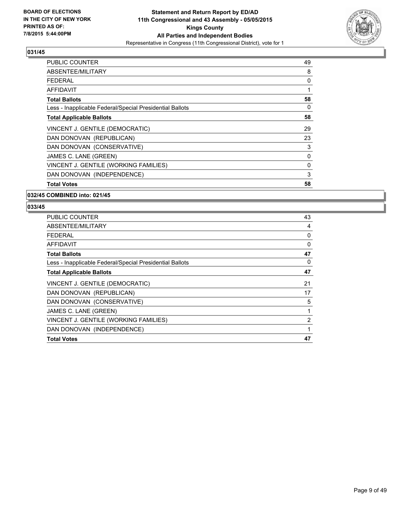

| <b>PUBLIC COUNTER</b>                                    | 49 |
|----------------------------------------------------------|----|
| ABSENTEE/MILITARY                                        | 8  |
| <b>FEDERAL</b>                                           | 0  |
| AFFIDAVIT                                                | 1  |
| <b>Total Ballots</b>                                     | 58 |
| Less - Inapplicable Federal/Special Presidential Ballots | 0  |
| <b>Total Applicable Ballots</b>                          | 58 |
| VINCENT J. GENTILE (DEMOCRATIC)                          | 29 |
| DAN DONOVAN (REPUBLICAN)                                 | 23 |
| DAN DONOVAN (CONSERVATIVE)                               | 3  |
| JAMES C. LANE (GREEN)                                    | 0  |
| VINCENT J. GENTILE (WORKING FAMILIES)                    | 0  |
| DAN DONOVAN (INDEPENDENCE)                               | 3  |
| <b>Total Votes</b>                                       | 58 |

#### **032/45 COMBINED into: 021/45**

| <b>PUBLIC COUNTER</b>                                    | 43           |
|----------------------------------------------------------|--------------|
| ABSENTEE/MILITARY                                        | 4            |
| <b>FEDERAL</b>                                           | 0            |
| AFFIDAVIT                                                | 0            |
| <b>Total Ballots</b>                                     | 47           |
| Less - Inapplicable Federal/Special Presidential Ballots | 0            |
| <b>Total Applicable Ballots</b>                          | 47           |
| VINCENT J. GENTILE (DEMOCRATIC)                          | 21           |
| DAN DONOVAN (REPUBLICAN)                                 | 17           |
| DAN DONOVAN (CONSERVATIVE)                               | 5            |
| JAMES C. LANE (GREEN)                                    | 1            |
| VINCENT J. GENTILE (WORKING FAMILIES)                    | 2            |
| DAN DONOVAN (INDEPENDENCE)                               | $\mathbf{1}$ |
| <b>Total Votes</b>                                       | 47           |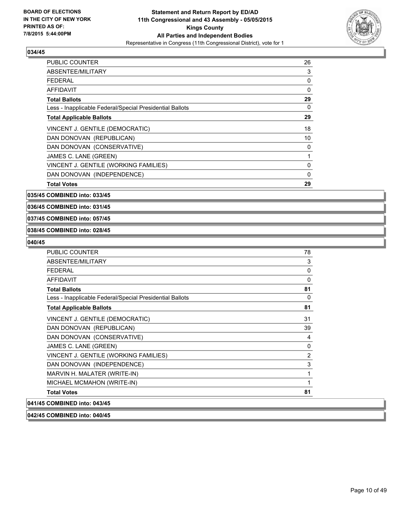

| <b>PUBLIC COUNTER</b>                                    | 26 |
|----------------------------------------------------------|----|
| ABSENTEE/MILITARY                                        | 3  |
| FEDERAL                                                  | 0  |
| AFFIDAVIT                                                | 0  |
| <b>Total Ballots</b>                                     | 29 |
| Less - Inapplicable Federal/Special Presidential Ballots | 0  |
| <b>Total Applicable Ballots</b>                          | 29 |
| VINCENT J. GENTILE (DEMOCRATIC)                          | 18 |
| DAN DONOVAN (REPUBLICAN)                                 | 10 |
| DAN DONOVAN (CONSERVATIVE)                               | 0  |
| JAMES C. LANE (GREEN)                                    |    |
| VINCENT J. GENTILE (WORKING FAMILIES)                    | 0  |
| DAN DONOVAN (INDEPENDENCE)                               | 0  |
| <b>Total Votes</b>                                       | 29 |

**035/45 COMBINED into: 033/45**

**036/45 COMBINED into: 031/45**

#### **037/45 COMBINED into: 057/45**

#### **038/45 COMBINED into: 028/45**

#### **040/45**

| <b>PUBLIC COUNTER</b>                                    | 78 |
|----------------------------------------------------------|----|
| ABSENTEE/MILITARY                                        | 3  |
| <b>FEDERAL</b>                                           | 0  |
| <b>AFFIDAVIT</b>                                         | 0  |
| <b>Total Ballots</b>                                     | 81 |
| Less - Inapplicable Federal/Special Presidential Ballots | 0  |
| <b>Total Applicable Ballots</b>                          | 81 |
| VINCENT J. GENTILE (DEMOCRATIC)                          | 31 |
| DAN DONOVAN (REPUBLICAN)                                 | 39 |
| DAN DONOVAN (CONSERVATIVE)                               | 4  |
| JAMES C. LANE (GREEN)                                    | 0  |
| VINCENT J. GENTILE (WORKING FAMILIES)                    | 2  |
| DAN DONOVAN (INDEPENDENCE)                               | 3  |
| MARVIN H. MALATER (WRITE-IN)                             | 1  |
| MICHAEL MCMAHON (WRITE-IN)                               | 1  |
| <b>Total Votes</b>                                       | 81 |
| 041/45 COMBINED into: 043/45                             |    |

# **042/45 COMBINED into: 040/45**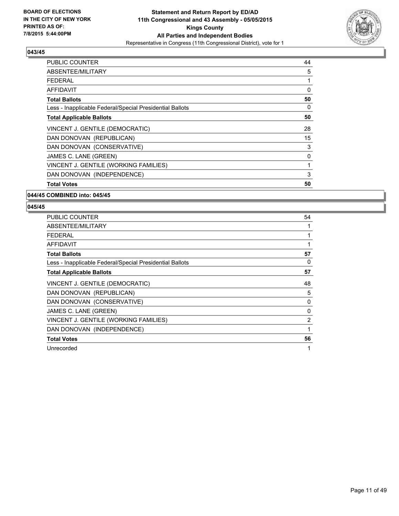

| <b>PUBLIC COUNTER</b>                                    | 44 |
|----------------------------------------------------------|----|
| ABSENTEE/MILITARY                                        | 5  |
| <b>FEDERAL</b>                                           | 1  |
| AFFIDAVIT                                                | 0  |
| <b>Total Ballots</b>                                     | 50 |
| Less - Inapplicable Federal/Special Presidential Ballots | 0  |
| <b>Total Applicable Ballots</b>                          | 50 |
| VINCENT J. GENTILE (DEMOCRATIC)                          | 28 |
| DAN DONOVAN (REPUBLICAN)                                 | 15 |
| DAN DONOVAN (CONSERVATIVE)                               | 3  |
| JAMES C. LANE (GREEN)                                    | 0  |
| VINCENT J. GENTILE (WORKING FAMILIES)                    | 1  |
| DAN DONOVAN (INDEPENDENCE)                               | 3  |
| <b>Total Votes</b>                                       | 50 |

#### **044/45 COMBINED into: 045/45**

| <b>PUBLIC COUNTER</b>                                    | 54 |
|----------------------------------------------------------|----|
| ABSENTEE/MILITARY                                        | 1  |
| FEDERAL                                                  | 1  |
| <b>AFFIDAVIT</b>                                         | 1  |
| <b>Total Ballots</b>                                     | 57 |
| Less - Inapplicable Federal/Special Presidential Ballots | 0  |
| <b>Total Applicable Ballots</b>                          | 57 |
| VINCENT J. GENTILE (DEMOCRATIC)                          | 48 |
| DAN DONOVAN (REPUBLICAN)                                 | 5  |
| DAN DONOVAN (CONSERVATIVE)                               | 0  |
| JAMES C. LANE (GREEN)                                    | 0  |
| VINCENT J. GENTILE (WORKING FAMILIES)                    | 2  |
| DAN DONOVAN (INDEPENDENCE)                               | 1  |
| <b>Total Votes</b>                                       | 56 |
| Unrecorded                                               | 1  |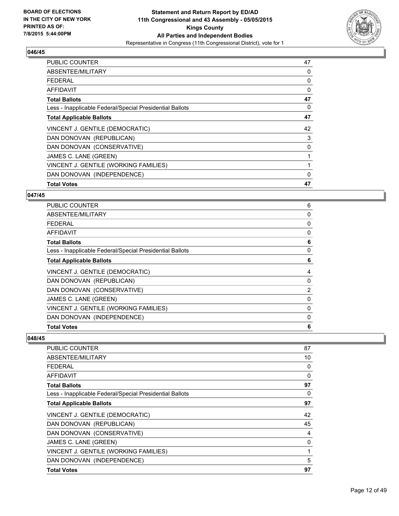

| <b>PUBLIC COUNTER</b>                                    | 47 |
|----------------------------------------------------------|----|
| ABSENTEE/MILITARY                                        | 0  |
| <b>FEDERAL</b>                                           | 0  |
| AFFIDAVIT                                                | 0  |
| <b>Total Ballots</b>                                     | 47 |
| Less - Inapplicable Federal/Special Presidential Ballots | 0  |
| <b>Total Applicable Ballots</b>                          | 47 |
| VINCENT J. GENTILE (DEMOCRATIC)                          | 42 |
| DAN DONOVAN (REPUBLICAN)                                 | 3  |
| DAN DONOVAN (CONSERVATIVE)                               | 0  |
| JAMES C. LANE (GREEN)                                    | 1  |
| VINCENT J. GENTILE (WORKING FAMILIES)                    | 1  |
| DAN DONOVAN (INDEPENDENCE)                               | 0  |
| <b>Total Votes</b>                                       | 47 |

#### **047/45**

| 6              |
|----------------|
| 0              |
| 0              |
| 0              |
| 6              |
| 0              |
| 6              |
| 4              |
| 0              |
| $\overline{2}$ |
| 0              |
| 0              |
| 0              |
| 6              |
|                |

| <b>PUBLIC COUNTER</b>                                    | 87 |
|----------------------------------------------------------|----|
| ABSENTEE/MILITARY                                        | 10 |
| <b>FEDERAL</b>                                           | 0  |
| AFFIDAVIT                                                | 0  |
| <b>Total Ballots</b>                                     | 97 |
| Less - Inapplicable Federal/Special Presidential Ballots | 0  |
| <b>Total Applicable Ballots</b>                          | 97 |
| VINCENT J. GENTILE (DEMOCRATIC)                          | 42 |
| DAN DONOVAN (REPUBLICAN)                                 | 45 |
| DAN DONOVAN (CONSERVATIVE)                               | 4  |
| JAMES C. LANE (GREEN)                                    | 0  |
| VINCENT J. GENTILE (WORKING FAMILIES)                    | 1  |
| DAN DONOVAN (INDEPENDENCE)                               | 5  |
| <b>Total Votes</b>                                       | 97 |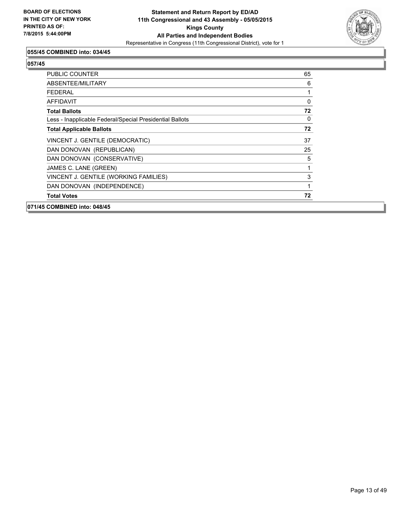

## **055/45 COMBINED into: 034/45**

| 071/45 COMBINED into: 048/45                             |    |
|----------------------------------------------------------|----|
| <b>Total Votes</b>                                       | 72 |
| DAN DONOVAN (INDEPENDENCE)                               | 1  |
| VINCENT J. GENTILE (WORKING FAMILIES)                    | 3  |
| JAMES C. LANE (GREEN)                                    | 1  |
| DAN DONOVAN (CONSERVATIVE)                               | 5  |
| DAN DONOVAN (REPUBLICAN)                                 | 25 |
| VINCENT J. GENTILE (DEMOCRATIC)                          | 37 |
| <b>Total Applicable Ballots</b>                          | 72 |
| Less - Inapplicable Federal/Special Presidential Ballots | 0  |
| <b>Total Ballots</b>                                     | 72 |
| AFFIDAVIT                                                | 0  |
| <b>FEDERAL</b>                                           |    |
| ABSENTEE/MILITARY                                        | 6  |
| <b>PUBLIC COUNTER</b>                                    | 65 |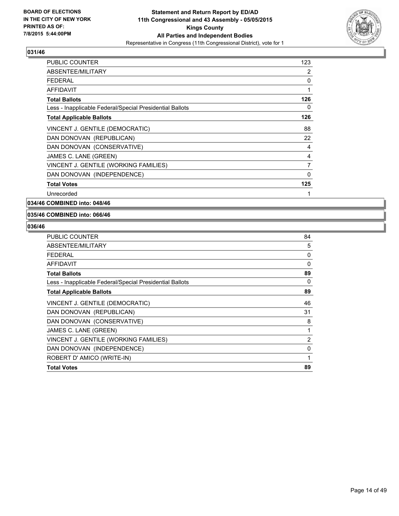

| <b>PUBLIC COUNTER</b>                                    | 123            |
|----------------------------------------------------------|----------------|
| ABSENTEE/MILITARY                                        | 2              |
| <b>FEDERAL</b>                                           | 0              |
| <b>AFFIDAVIT</b>                                         | 1              |
| <b>Total Ballots</b>                                     | 126            |
| Less - Inapplicable Federal/Special Presidential Ballots | 0              |
| <b>Total Applicable Ballots</b>                          | 126            |
| VINCENT J. GENTILE (DEMOCRATIC)                          | 88             |
| DAN DONOVAN (REPUBLICAN)                                 | 22             |
| DAN DONOVAN (CONSERVATIVE)                               | 4              |
| JAMES C. LANE (GREEN)                                    | 4              |
| VINCENT J. GENTILE (WORKING FAMILIES)                    | $\overline{7}$ |
| DAN DONOVAN (INDEPENDENCE)                               | 0              |
| <b>Total Votes</b>                                       | 125            |
| Unrecorded                                               | 1              |

**034/46 COMBINED into: 048/46**

#### **035/46 COMBINED into: 066/46**

| PUBLIC COUNTER                                           | 84           |
|----------------------------------------------------------|--------------|
| ABSENTEE/MILITARY                                        | 5            |
| <b>FEDERAL</b>                                           | 0            |
| <b>AFFIDAVIT</b>                                         | 0            |
| <b>Total Ballots</b>                                     | 89           |
| Less - Inapplicable Federal/Special Presidential Ballots | 0            |
| <b>Total Applicable Ballots</b>                          | 89           |
| VINCENT J. GENTILE (DEMOCRATIC)                          | 46           |
| DAN DONOVAN (REPUBLICAN)                                 | 31           |
| DAN DONOVAN (CONSERVATIVE)                               | 8            |
| JAMES C. LANE (GREEN)                                    | 1            |
| VINCENT J. GENTILE (WORKING FAMILIES)                    | 2            |
| DAN DONOVAN (INDEPENDENCE)                               | 0            |
| ROBERT D' AMICO (WRITE-IN)                               | $\mathbf{1}$ |
| <b>Total Votes</b>                                       | 89           |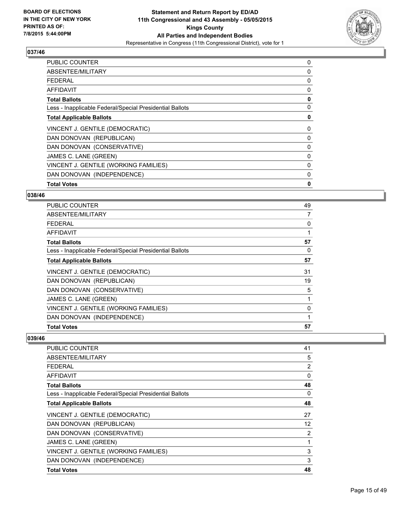

| <b>PUBLIC COUNTER</b>                                    | 0 |
|----------------------------------------------------------|---|
| ABSENTEE/MILITARY                                        | 0 |
| <b>FEDERAL</b>                                           | 0 |
| AFFIDAVIT                                                | 0 |
| <b>Total Ballots</b>                                     | 0 |
| Less - Inapplicable Federal/Special Presidential Ballots | 0 |
| <b>Total Applicable Ballots</b>                          | 0 |
| VINCENT J. GENTILE (DEMOCRATIC)                          | 0 |
| DAN DONOVAN (REPUBLICAN)                                 | 0 |
| DAN DONOVAN (CONSERVATIVE)                               | 0 |
| JAMES C. LANE (GREEN)                                    | 0 |
| VINCENT J. GENTILE (WORKING FAMILIES)                    | 0 |
| DAN DONOVAN (INDEPENDENCE)                               | 0 |
| <b>Total Votes</b>                                       | 0 |

#### **038/46**

| PUBLIC COUNTER                                           | 49 |
|----------------------------------------------------------|----|
| ABSENTEE/MILITARY                                        | 7  |
| <b>FEDERAL</b>                                           | 0  |
| <b>AFFIDAVIT</b>                                         |    |
| <b>Total Ballots</b>                                     | 57 |
| Less - Inapplicable Federal/Special Presidential Ballots | 0  |
| <b>Total Applicable Ballots</b>                          | 57 |
| VINCENT J. GENTILE (DEMOCRATIC)                          | 31 |
| DAN DONOVAN (REPUBLICAN)                                 | 19 |
| DAN DONOVAN (CONSERVATIVE)                               | 5  |
| JAMES C. LANE (GREEN)                                    | 1  |
| VINCENT J. GENTILE (WORKING FAMILIES)                    | 0  |
| DAN DONOVAN (INDEPENDENCE)                               |    |
| <b>Total Votes</b>                                       | 57 |

| <b>PUBLIC COUNTER</b>                                    | 41                |
|----------------------------------------------------------|-------------------|
| ABSENTEE/MILITARY                                        | 5                 |
| <b>FEDERAL</b>                                           | 2                 |
| AFFIDAVIT                                                | 0                 |
| <b>Total Ballots</b>                                     | 48                |
| Less - Inapplicable Federal/Special Presidential Ballots | 0                 |
| <b>Total Applicable Ballots</b>                          | 48                |
| VINCENT J. GENTILE (DEMOCRATIC)                          | 27                |
| DAN DONOVAN (REPUBLICAN)                                 | $12 \overline{ }$ |
| DAN DONOVAN (CONSERVATIVE)                               | 2                 |
| JAMES C. LANE (GREEN)                                    | 1                 |
| VINCENT J. GENTILE (WORKING FAMILIES)                    | 3                 |
| DAN DONOVAN (INDEPENDENCE)                               | 3                 |
| <b>Total Votes</b>                                       | 48                |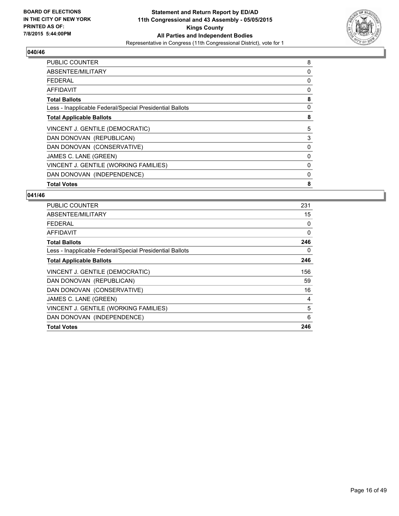

| <b>PUBLIC COUNTER</b>                                    | 8 |
|----------------------------------------------------------|---|
| ABSENTEE/MILITARY                                        | 0 |
| FEDERAL                                                  | 0 |
| AFFIDAVIT                                                | 0 |
| <b>Total Ballots</b>                                     | 8 |
| Less - Inapplicable Federal/Special Presidential Ballots | 0 |
| <b>Total Applicable Ballots</b>                          | 8 |
| VINCENT J. GENTILE (DEMOCRATIC)                          | 5 |
| DAN DONOVAN (REPUBLICAN)                                 | 3 |
| DAN DONOVAN (CONSERVATIVE)                               | 0 |
| JAMES C. LANE (GREEN)                                    | 0 |
| VINCENT J. GENTILE (WORKING FAMILIES)                    | 0 |
| DAN DONOVAN (INDEPENDENCE)                               | 0 |
| <b>Total Votes</b>                                       | 8 |

| <b>PUBLIC COUNTER</b>                                    | 231 |
|----------------------------------------------------------|-----|
| ABSENTEE/MILITARY                                        | 15  |
| <b>FEDERAL</b>                                           | 0   |
| AFFIDAVIT                                                | 0   |
| <b>Total Ballots</b>                                     | 246 |
| Less - Inapplicable Federal/Special Presidential Ballots | 0   |
| <b>Total Applicable Ballots</b>                          | 246 |
| VINCENT J. GENTILE (DEMOCRATIC)                          | 156 |
| DAN DONOVAN (REPUBLICAN)                                 | 59  |
| DAN DONOVAN (CONSERVATIVE)                               | 16  |
| JAMES C. LANE (GREEN)                                    | 4   |
| VINCENT J. GENTILE (WORKING FAMILIES)                    | 5   |
| DAN DONOVAN (INDEPENDENCE)                               | 6   |
| <b>Total Votes</b>                                       | 246 |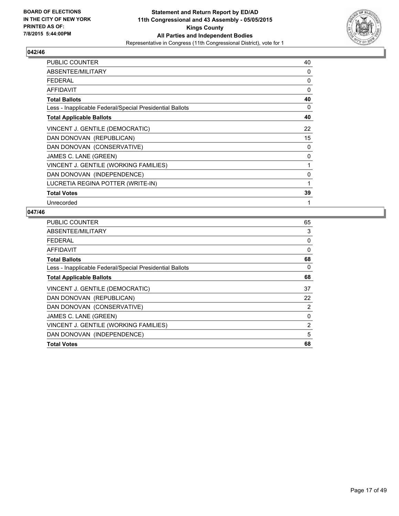

| <b>PUBLIC COUNTER</b>                                    | 40 |
|----------------------------------------------------------|----|
| ABSENTEE/MILITARY                                        | 0  |
| <b>FEDERAL</b>                                           | 0  |
| <b>AFFIDAVIT</b>                                         | 0  |
| <b>Total Ballots</b>                                     | 40 |
| Less - Inapplicable Federal/Special Presidential Ballots | 0  |
| <b>Total Applicable Ballots</b>                          | 40 |
| VINCENT J. GENTILE (DEMOCRATIC)                          | 22 |
| DAN DONOVAN (REPUBLICAN)                                 | 15 |
| DAN DONOVAN (CONSERVATIVE)                               | 0  |
| JAMES C. LANE (GREEN)                                    | 0  |
| VINCENT J. GENTILE (WORKING FAMILIES)                    | 1  |
| DAN DONOVAN (INDEPENDENCE)                               | 0  |
| LUCRETIA REGINA POTTER (WRITE-IN)                        | 1  |
| <b>Total Votes</b>                                       | 39 |
| Unrecorded                                               | 1  |

| PUBLIC COUNTER                                           | 65             |
|----------------------------------------------------------|----------------|
| ABSENTEE/MILITARY                                        | 3              |
| <b>FEDERAL</b>                                           | 0              |
| AFFIDAVIT                                                | 0              |
| <b>Total Ballots</b>                                     | 68             |
| Less - Inapplicable Federal/Special Presidential Ballots | 0              |
| <b>Total Applicable Ballots</b>                          | 68             |
| VINCENT J. GENTILE (DEMOCRATIC)                          | 37             |
| DAN DONOVAN (REPUBLICAN)                                 | 22             |
| DAN DONOVAN (CONSERVATIVE)                               | 2              |
| JAMES C. LANE (GREEN)                                    | 0              |
| VINCENT J. GENTILE (WORKING FAMILIES)                    | $\overline{2}$ |
| DAN DONOVAN (INDEPENDENCE)                               | 5              |
| <b>Total Votes</b>                                       | 68             |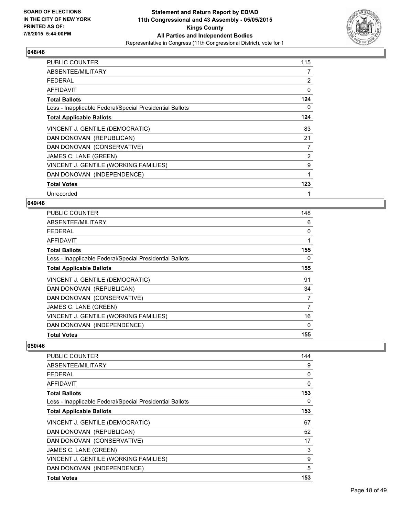

| <b>PUBLIC COUNTER</b>                                    | 115            |
|----------------------------------------------------------|----------------|
| ABSENTEE/MILITARY                                        | 7              |
| <b>FEDERAL</b>                                           | $\overline{2}$ |
| AFFIDAVIT                                                | 0              |
| <b>Total Ballots</b>                                     | 124            |
| Less - Inapplicable Federal/Special Presidential Ballots | 0              |
| <b>Total Applicable Ballots</b>                          | 124            |
| VINCENT J. GENTILE (DEMOCRATIC)                          | 83             |
| DAN DONOVAN (REPUBLICAN)                                 | 21             |
| DAN DONOVAN (CONSERVATIVE)                               | 7              |
| JAMES C. LANE (GREEN)                                    | $\overline{2}$ |
| VINCENT J. GENTILE (WORKING FAMILIES)                    | 9              |
| DAN DONOVAN (INDEPENDENCE)                               | 1              |
| <b>Total Votes</b>                                       | 123            |
| Unrecorded                                               |                |

#### **049/46**

| <b>PUBLIC COUNTER</b>                                    | 148 |
|----------------------------------------------------------|-----|
| ABSENTEE/MILITARY                                        | 6   |
| <b>FEDERAL</b>                                           | 0   |
| AFFIDAVIT                                                | 1   |
| <b>Total Ballots</b>                                     | 155 |
| Less - Inapplicable Federal/Special Presidential Ballots | 0   |
| <b>Total Applicable Ballots</b>                          | 155 |
| VINCENT J. GENTILE (DEMOCRATIC)                          | 91  |
| DAN DONOVAN (REPUBLICAN)                                 | 34  |
| DAN DONOVAN (CONSERVATIVE)                               | 7   |
| JAMES C. LANE (GREEN)                                    | 7   |
| VINCENT J. GENTILE (WORKING FAMILIES)                    | 16  |
| DAN DONOVAN (INDEPENDENCE)                               | 0   |
| <b>Total Votes</b>                                       | 155 |

| <b>PUBLIC COUNTER</b>                                    | 144 |
|----------------------------------------------------------|-----|
| ABSENTEE/MILITARY                                        | 9   |
| <b>FEDERAL</b>                                           | 0   |
| AFFIDAVIT                                                | 0   |
| <b>Total Ballots</b>                                     | 153 |
| Less - Inapplicable Federal/Special Presidential Ballots | 0   |
| <b>Total Applicable Ballots</b>                          | 153 |
| VINCENT J. GENTILE (DEMOCRATIC)                          | 67  |
| DAN DONOVAN (REPUBLICAN)                                 | 52  |
| DAN DONOVAN (CONSERVATIVE)                               | 17  |
| JAMES C. LANE (GREEN)                                    | 3   |
| VINCENT J. GENTILE (WORKING FAMILIES)                    | 9   |
| DAN DONOVAN (INDEPENDENCE)                               | 5   |
| <b>Total Votes</b>                                       | 153 |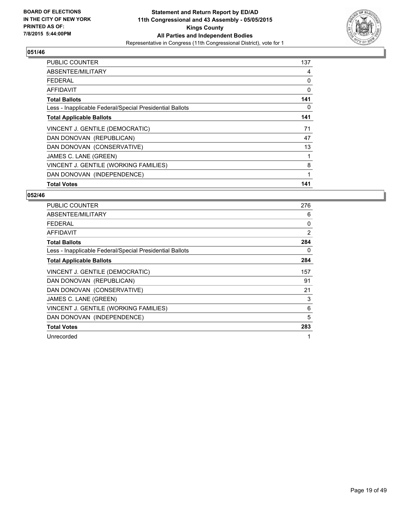

| <b>PUBLIC COUNTER</b>                                    | 137 |
|----------------------------------------------------------|-----|
| ABSENTEE/MILITARY                                        | 4   |
| <b>FEDERAL</b>                                           | 0   |
| AFFIDAVIT                                                | 0   |
| <b>Total Ballots</b>                                     | 141 |
| Less - Inapplicable Federal/Special Presidential Ballots | 0   |
| <b>Total Applicable Ballots</b>                          | 141 |
| VINCENT J. GENTILE (DEMOCRATIC)                          | 71  |
| DAN DONOVAN (REPUBLICAN)                                 | 47  |
| DAN DONOVAN (CONSERVATIVE)                               | 13  |
| JAMES C. LANE (GREEN)                                    | 1   |
| VINCENT J. GENTILE (WORKING FAMILIES)                    | 8   |
| DAN DONOVAN (INDEPENDENCE)                               | 1   |
| <b>Total Votes</b>                                       | 141 |

| <b>PUBLIC COUNTER</b>                                    | 276 |
|----------------------------------------------------------|-----|
| ABSENTEE/MILITARY                                        | 6   |
| <b>FEDERAL</b>                                           | 0   |
| <b>AFFIDAVIT</b>                                         | 2   |
| <b>Total Ballots</b>                                     | 284 |
| Less - Inapplicable Federal/Special Presidential Ballots | 0   |
| <b>Total Applicable Ballots</b>                          | 284 |
| VINCENT J. GENTILE (DEMOCRATIC)                          | 157 |
| DAN DONOVAN (REPUBLICAN)                                 | 91  |
| DAN DONOVAN (CONSERVATIVE)                               | 21  |
| JAMES C. LANE (GREEN)                                    | 3   |
| VINCENT J. GENTILE (WORKING FAMILIES)                    | 6   |
| DAN DONOVAN (INDEPENDENCE)                               | 5   |
| <b>Total Votes</b>                                       | 283 |
| Unrecorded                                               | 1   |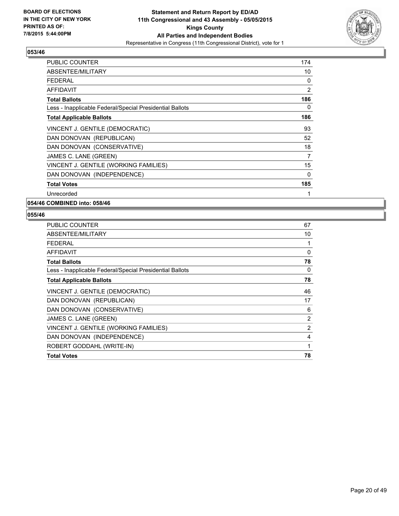

| PUBLIC COUNTER                                           | 174 |
|----------------------------------------------------------|-----|
| ABSENTEE/MILITARY                                        | 10  |
| <b>FEDERAL</b>                                           | 0   |
| <b>AFFIDAVIT</b>                                         | 2   |
| <b>Total Ballots</b>                                     | 186 |
| Less - Inapplicable Federal/Special Presidential Ballots | 0   |
| <b>Total Applicable Ballots</b>                          | 186 |
| VINCENT J. GENTILE (DEMOCRATIC)                          | 93  |
| DAN DONOVAN (REPUBLICAN)                                 | 52  |
| DAN DONOVAN (CONSERVATIVE)                               | 18  |
| JAMES C. LANE (GREEN)                                    | 7   |
| VINCENT J. GENTILE (WORKING FAMILIES)                    | 15  |
| DAN DONOVAN (INDEPENDENCE)                               | 0   |
| <b>Total Votes</b>                                       | 185 |
| Unrecorded                                               | 1   |

**054/46 COMBINED into: 058/46**

| <b>PUBLIC COUNTER</b>                                    | 67 |
|----------------------------------------------------------|----|
| ABSENTEE/MILITARY                                        | 10 |
| <b>FEDERAL</b>                                           | 1  |
| AFFIDAVIT                                                | 0  |
| <b>Total Ballots</b>                                     | 78 |
| Less - Inapplicable Federal/Special Presidential Ballots | 0  |
| <b>Total Applicable Ballots</b>                          | 78 |
| VINCENT J. GENTILE (DEMOCRATIC)                          | 46 |
| DAN DONOVAN (REPUBLICAN)                                 | 17 |
| DAN DONOVAN (CONSERVATIVE)                               | 6  |
| JAMES C. LANE (GREEN)                                    | 2  |
| VINCENT J. GENTILE (WORKING FAMILIES)                    | 2  |
| DAN DONOVAN (INDEPENDENCE)                               | 4  |
| ROBERT GODDAHL (WRITE-IN)                                | 1  |
| <b>Total Votes</b>                                       | 78 |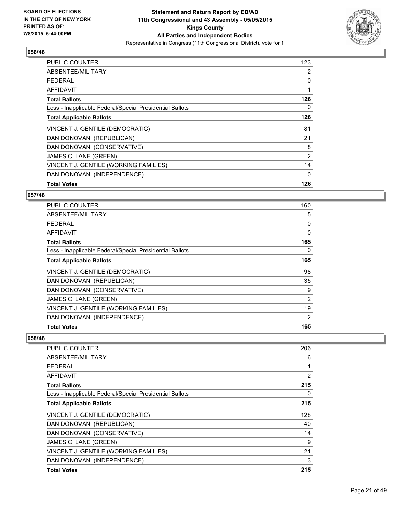

| <b>PUBLIC COUNTER</b>                                    | 123 |
|----------------------------------------------------------|-----|
| ABSENTEE/MILITARY                                        | 2   |
| <b>FEDERAL</b>                                           | 0   |
| AFFIDAVIT                                                | 1   |
| <b>Total Ballots</b>                                     | 126 |
| Less - Inapplicable Federal/Special Presidential Ballots | 0   |
| <b>Total Applicable Ballots</b>                          | 126 |
| VINCENT J. GENTILE (DEMOCRATIC)                          | 81  |
| DAN DONOVAN (REPUBLICAN)                                 | 21  |
| DAN DONOVAN (CONSERVATIVE)                               | 8   |
| JAMES C. LANE (GREEN)                                    | 2   |
| VINCENT J. GENTILE (WORKING FAMILIES)                    | 14  |
| DAN DONOVAN (INDEPENDENCE)                               | 0   |
| <b>Total Votes</b>                                       | 126 |

## **057/46**

| PUBLIC COUNTER                                           | 160            |
|----------------------------------------------------------|----------------|
| ABSENTEE/MILITARY                                        | 5              |
| <b>FEDERAL</b>                                           | 0              |
| <b>AFFIDAVIT</b>                                         | $\Omega$       |
| <b>Total Ballots</b>                                     | 165            |
| Less - Inapplicable Federal/Special Presidential Ballots | 0              |
| <b>Total Applicable Ballots</b>                          | 165            |
| VINCENT J. GENTILE (DEMOCRATIC)                          | 98             |
| DAN DONOVAN (REPUBLICAN)                                 | 35             |
| DAN DONOVAN (CONSERVATIVE)                               | 9              |
| JAMES C. LANE (GREEN)                                    | $\overline{2}$ |
| VINCENT J. GENTILE (WORKING FAMILIES)                    | 19             |
| DAN DONOVAN (INDEPENDENCE)                               | 2              |
| <b>Total Votes</b>                                       | 165            |

| <b>PUBLIC COUNTER</b>                                    | 206 |
|----------------------------------------------------------|-----|
| ABSENTEE/MILITARY                                        | 6   |
| <b>FEDERAL</b>                                           | 1   |
| AFFIDAVIT                                                | 2   |
| <b>Total Ballots</b>                                     | 215 |
| Less - Inapplicable Federal/Special Presidential Ballots | 0   |
| <b>Total Applicable Ballots</b>                          | 215 |
| VINCENT J. GENTILE (DEMOCRATIC)                          | 128 |
| DAN DONOVAN (REPUBLICAN)                                 | 40  |
| DAN DONOVAN (CONSERVATIVE)                               | 14  |
| JAMES C. LANE (GREEN)                                    | 9   |
| VINCENT J. GENTILE (WORKING FAMILIES)                    | 21  |
| DAN DONOVAN (INDEPENDENCE)                               | 3   |
| <b>Total Votes</b>                                       | 215 |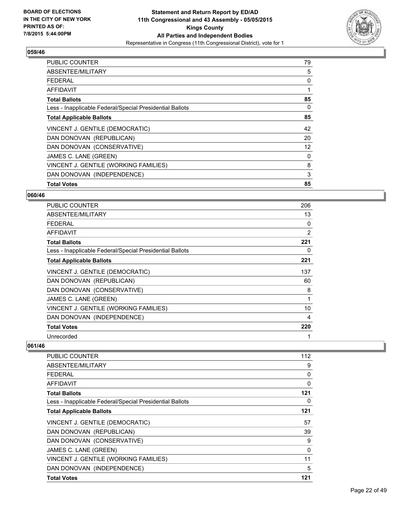

| <b>PUBLIC COUNTER</b>                                    | 79 |
|----------------------------------------------------------|----|
| ABSENTEE/MILITARY                                        | 5  |
| <b>FEDERAL</b>                                           | 0  |
| AFFIDAVIT                                                |    |
| <b>Total Ballots</b>                                     | 85 |
| Less - Inapplicable Federal/Special Presidential Ballots | 0  |
| <b>Total Applicable Ballots</b>                          | 85 |
| VINCENT J. GENTILE (DEMOCRATIC)                          | 42 |
| DAN DONOVAN (REPUBLICAN)                                 | 20 |
| DAN DONOVAN (CONSERVATIVE)                               | 12 |
| JAMES C. LANE (GREEN)                                    | 0  |
| VINCENT J. GENTILE (WORKING FAMILIES)                    | 8  |
| DAN DONOVAN (INDEPENDENCE)                               | 3  |
| <b>Total Votes</b>                                       | 85 |

#### **060/46**

| <b>PUBLIC COUNTER</b>                                    | 206 |
|----------------------------------------------------------|-----|
| ABSENTEE/MILITARY                                        | 13  |
| <b>FEDERAL</b>                                           | 0   |
| AFFIDAVIT                                                | 2   |
| <b>Total Ballots</b>                                     | 221 |
| Less - Inapplicable Federal/Special Presidential Ballots | 0   |
| <b>Total Applicable Ballots</b>                          | 221 |
| VINCENT J. GENTILE (DEMOCRATIC)                          | 137 |
| DAN DONOVAN (REPUBLICAN)                                 | 60  |
| DAN DONOVAN (CONSERVATIVE)                               | 8   |
| JAMES C. LANE (GREEN)                                    | 1   |
| VINCENT J. GENTILE (WORKING FAMILIES)                    | 10  |
| DAN DONOVAN (INDEPENDENCE)                               | 4   |
| <b>Total Votes</b>                                       | 220 |
| Unrecorded                                               |     |

| <b>PUBLIC COUNTER</b>                                    | 112 |
|----------------------------------------------------------|-----|
| ABSENTEE/MILITARY                                        | 9   |
| <b>FEDERAL</b>                                           | 0   |
| AFFIDAVIT                                                | 0   |
| <b>Total Ballots</b>                                     | 121 |
| Less - Inapplicable Federal/Special Presidential Ballots | 0   |
| <b>Total Applicable Ballots</b>                          | 121 |
| VINCENT J. GENTILE (DEMOCRATIC)                          | 57  |
| DAN DONOVAN (REPUBLICAN)                                 | 39  |
| DAN DONOVAN (CONSERVATIVE)                               | 9   |
| JAMES C. LANE (GREEN)                                    | 0   |
| VINCENT J. GENTILE (WORKING FAMILIES)                    | 11  |
| DAN DONOVAN (INDEPENDENCE)                               | 5   |
| <b>Total Votes</b>                                       | 121 |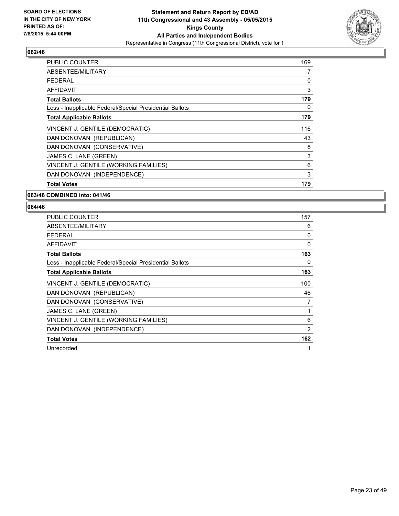

| <b>PUBLIC COUNTER</b>                                    | 169 |
|----------------------------------------------------------|-----|
| ABSENTEE/MILITARY                                        | 7   |
| FEDERAL                                                  | 0   |
| AFFIDAVIT                                                | 3   |
| <b>Total Ballots</b>                                     | 179 |
| Less - Inapplicable Federal/Special Presidential Ballots | 0   |
| <b>Total Applicable Ballots</b>                          | 179 |
| VINCENT J. GENTILE (DEMOCRATIC)                          | 116 |
| DAN DONOVAN (REPUBLICAN)                                 | 43  |
| DAN DONOVAN (CONSERVATIVE)                               | 8   |
| JAMES C. LANE (GREEN)                                    | 3   |
| VINCENT J. GENTILE (WORKING FAMILIES)                    | 6   |
| DAN DONOVAN (INDEPENDENCE)                               | 3   |
| <b>Total Votes</b>                                       | 179 |

#### **063/46 COMBINED into: 041/46**

| PUBLIC COUNTER                                           | 157 |
|----------------------------------------------------------|-----|
| ABSENTEE/MILITARY                                        | 6   |
| FEDERAL                                                  | 0   |
| <b>AFFIDAVIT</b>                                         | 0   |
| <b>Total Ballots</b>                                     | 163 |
| Less - Inapplicable Federal/Special Presidential Ballots | 0   |
| <b>Total Applicable Ballots</b>                          | 163 |
| VINCENT J. GENTILE (DEMOCRATIC)                          | 100 |
| DAN DONOVAN (REPUBLICAN)                                 | 46  |
| DAN DONOVAN (CONSERVATIVE)                               | 7   |
| JAMES C. LANE (GREEN)                                    | 1   |
| VINCENT J. GENTILE (WORKING FAMILIES)                    | 6   |
| DAN DONOVAN (INDEPENDENCE)                               | 2   |
| <b>Total Votes</b>                                       | 162 |
| Unrecorded                                               | 1   |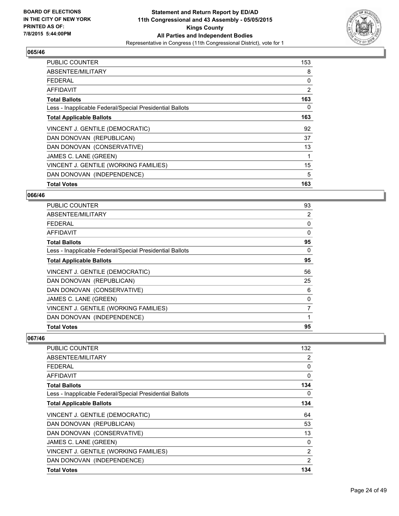

| <b>PUBLIC COUNTER</b>                                    | 153 |
|----------------------------------------------------------|-----|
| ABSENTEE/MILITARY                                        | 8   |
| <b>FEDERAL</b>                                           | 0   |
| AFFIDAVIT                                                | 2   |
| <b>Total Ballots</b>                                     | 163 |
| Less - Inapplicable Federal/Special Presidential Ballots | 0   |
| <b>Total Applicable Ballots</b>                          | 163 |
| VINCENT J. GENTILE (DEMOCRATIC)                          | 92  |
| DAN DONOVAN (REPUBLICAN)                                 | 37  |
| DAN DONOVAN (CONSERVATIVE)                               | 13  |
| JAMES C. LANE (GREEN)                                    | 1   |
| VINCENT J. GENTILE (WORKING FAMILIES)                    | 15  |
| DAN DONOVAN (INDEPENDENCE)                               | 5   |
| <b>Total Votes</b>                                       | 163 |

#### **066/46**

| PUBLIC COUNTER                                           | 93       |
|----------------------------------------------------------|----------|
| ABSENTEE/MILITARY                                        | 2        |
| <b>FEDERAL</b>                                           | 0        |
| AFFIDAVIT                                                | $\Omega$ |
| <b>Total Ballots</b>                                     | 95       |
| Less - Inapplicable Federal/Special Presidential Ballots | 0        |
| <b>Total Applicable Ballots</b>                          | 95       |
| VINCENT J. GENTILE (DEMOCRATIC)                          | 56       |
| DAN DONOVAN (REPUBLICAN)                                 | 25       |
| DAN DONOVAN (CONSERVATIVE)                               | 6        |
| JAMES C. LANE (GREEN)                                    | 0        |
| VINCENT J. GENTILE (WORKING FAMILIES)                    | 7        |
| DAN DONOVAN (INDEPENDENCE)                               |          |
| <b>Total Votes</b>                                       | 95       |

| <b>PUBLIC COUNTER</b>                                    | 132 |
|----------------------------------------------------------|-----|
| ABSENTEE/MILITARY                                        | 2   |
| <b>FEDERAL</b>                                           | 0   |
| AFFIDAVIT                                                | 0   |
| <b>Total Ballots</b>                                     | 134 |
| Less - Inapplicable Federal/Special Presidential Ballots | 0   |
| <b>Total Applicable Ballots</b>                          | 134 |
| VINCENT J. GENTILE (DEMOCRATIC)                          | 64  |
| DAN DONOVAN (REPUBLICAN)                                 | 53  |
| DAN DONOVAN (CONSERVATIVE)                               | 13  |
| JAMES C. LANE (GREEN)                                    | 0   |
| VINCENT J. GENTILE (WORKING FAMILIES)                    | 2   |
| DAN DONOVAN (INDEPENDENCE)                               | 2   |
| <b>Total Votes</b>                                       | 134 |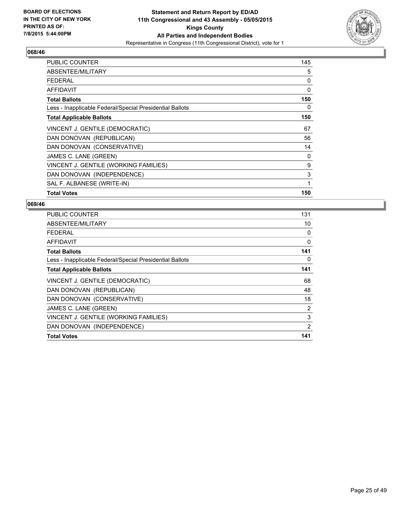

| <b>PUBLIC COUNTER</b>                                    | 145 |
|----------------------------------------------------------|-----|
| ABSENTEE/MILITARY                                        | 5   |
| <b>FEDERAL</b>                                           | 0   |
| AFFIDAVIT                                                | 0   |
| <b>Total Ballots</b>                                     | 150 |
| Less - Inapplicable Federal/Special Presidential Ballots | 0   |
| <b>Total Applicable Ballots</b>                          | 150 |
| VINCENT J. GENTILE (DEMOCRATIC)                          | 67  |
| DAN DONOVAN (REPUBLICAN)                                 | 56  |
| DAN DONOVAN (CONSERVATIVE)                               | 14  |
| JAMES C. LANE (GREEN)                                    | 0   |
| VINCENT J. GENTILE (WORKING FAMILIES)                    | 9   |
| DAN DONOVAN (INDEPENDENCE)                               | 3   |
| SAL F. ALBANESE (WRITE-IN)                               | 1   |
| <b>Total Votes</b>                                       | 150 |

| <b>PUBLIC COUNTER</b>                                    | 131 |
|----------------------------------------------------------|-----|
| ABSENTEE/MILITARY                                        | 10  |
| <b>FEDERAL</b>                                           | 0   |
| AFFIDAVIT                                                | 0   |
| <b>Total Ballots</b>                                     | 141 |
| Less - Inapplicable Federal/Special Presidential Ballots | 0   |
| <b>Total Applicable Ballots</b>                          | 141 |
| VINCENT J. GENTILE (DEMOCRATIC)                          | 68  |
| DAN DONOVAN (REPUBLICAN)                                 | 48  |
| DAN DONOVAN (CONSERVATIVE)                               | 18  |
| JAMES C. LANE (GREEN)                                    | 2   |
| VINCENT J. GENTILE (WORKING FAMILIES)                    | 3   |
| DAN DONOVAN (INDEPENDENCE)                               | 2   |
| <b>Total Votes</b>                                       | 141 |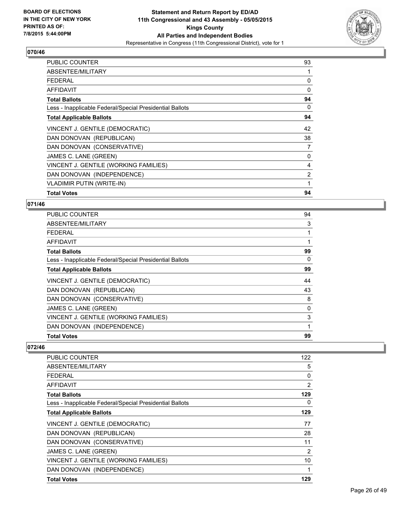

| <b>PUBLIC COUNTER</b>                                    | 93 |
|----------------------------------------------------------|----|
| ABSENTEE/MILITARY                                        | 1  |
| <b>FEDERAL</b>                                           | 0  |
| <b>AFFIDAVIT</b>                                         | 0  |
| <b>Total Ballots</b>                                     | 94 |
| Less - Inapplicable Federal/Special Presidential Ballots | 0  |
| <b>Total Applicable Ballots</b>                          | 94 |
| VINCENT J. GENTILE (DEMOCRATIC)                          | 42 |
| DAN DONOVAN (REPUBLICAN)                                 | 38 |
| DAN DONOVAN (CONSERVATIVE)                               | 7  |
| JAMES C. LANE (GREEN)                                    | 0  |
| VINCENT J. GENTILE (WORKING FAMILIES)                    | 4  |
| DAN DONOVAN (INDEPENDENCE)                               | 2  |
| <b>VLADIMIR PUTIN (WRITE-IN)</b>                         | 1  |
| <b>Total Votes</b>                                       | 94 |

#### **071/46**

| <b>PUBLIC COUNTER</b>                                    | 94 |
|----------------------------------------------------------|----|
| ABSENTEE/MILITARY                                        | 3  |
| FEDERAL                                                  |    |
| AFFIDAVIT                                                | 1  |
| <b>Total Ballots</b>                                     | 99 |
| Less - Inapplicable Federal/Special Presidential Ballots | 0  |
| <b>Total Applicable Ballots</b>                          | 99 |
| VINCENT J. GENTILE (DEMOCRATIC)                          | 44 |
| DAN DONOVAN (REPUBLICAN)                                 | 43 |
| DAN DONOVAN (CONSERVATIVE)                               | 8  |
| JAMES C. LANE (GREEN)                                    | 0  |
| VINCENT J. GENTILE (WORKING FAMILIES)                    | 3  |
| DAN DONOVAN (INDEPENDENCE)                               | 1  |
| <b>Total Votes</b>                                       | 99 |

| <b>PUBLIC COUNTER</b>                                    | 122            |
|----------------------------------------------------------|----------------|
| ABSENTEE/MILITARY                                        | 5              |
| FEDERAL                                                  | 0              |
| AFFIDAVIT                                                | $\overline{2}$ |
| <b>Total Ballots</b>                                     | 129            |
| Less - Inapplicable Federal/Special Presidential Ballots | 0              |
| <b>Total Applicable Ballots</b>                          | 129            |
| VINCENT J. GENTILE (DEMOCRATIC)                          | 77             |
| DAN DONOVAN (REPUBLICAN)                                 | 28             |
| DAN DONOVAN (CONSERVATIVE)                               | 11             |
| JAMES C. LANE (GREEN)                                    | $\overline{2}$ |
| VINCENT J. GENTILE (WORKING FAMILIES)                    | 10             |
| DAN DONOVAN (INDEPENDENCE)                               | 1              |
| <b>Total Votes</b>                                       | 129            |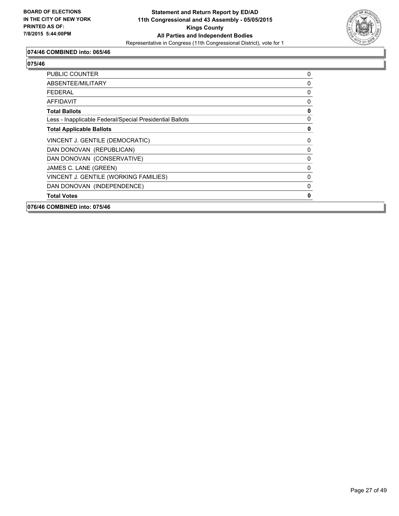

## **074/46 COMBINED into: 065/46**

| 076/46 COMBINED into: 075/46                             |              |
|----------------------------------------------------------|--------------|
| <b>Total Votes</b>                                       | 0            |
| DAN DONOVAN (INDEPENDENCE)                               | $\mathbf{0}$ |
| VINCENT J. GENTILE (WORKING FAMILIES)                    | 0            |
| JAMES C. LANE (GREEN)                                    | 0            |
| DAN DONOVAN (CONSERVATIVE)                               | 0            |
| DAN DONOVAN (REPUBLICAN)                                 | 0            |
| VINCENT J. GENTILE (DEMOCRATIC)                          | 0            |
| <b>Total Applicable Ballots</b>                          | $\mathbf 0$  |
| Less - Inapplicable Federal/Special Presidential Ballots | 0            |
| <b>Total Ballots</b>                                     | $\mathbf 0$  |
| <b>AFFIDAVIT</b>                                         | 0            |
| <b>FEDERAL</b>                                           | 0            |
| ABSENTEE/MILITARY                                        | 0            |
| <b>PUBLIC COUNTER</b>                                    | 0            |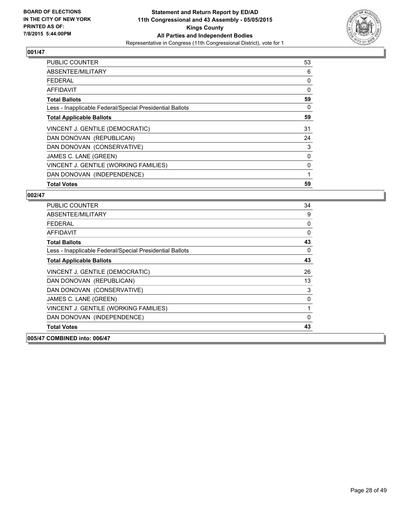

| <b>PUBLIC COUNTER</b>                                    | 53 |
|----------------------------------------------------------|----|
| ABSENTEE/MILITARY                                        | 6  |
| <b>FEDERAL</b>                                           | 0  |
| AFFIDAVIT                                                | 0  |
| <b>Total Ballots</b>                                     | 59 |
| Less - Inapplicable Federal/Special Presidential Ballots | 0  |
| <b>Total Applicable Ballots</b>                          | 59 |
| VINCENT J. GENTILE (DEMOCRATIC)                          | 31 |
| DAN DONOVAN (REPUBLICAN)                                 | 24 |
| DAN DONOVAN (CONSERVATIVE)                               | 3  |
| JAMES C. LANE (GREEN)                                    | 0  |
| VINCENT J. GENTILE (WORKING FAMILIES)                    | 0  |
| DAN DONOVAN (INDEPENDENCE)                               | 1  |
| <b>Total Votes</b>                                       | 59 |

| <b>PUBLIC COUNTER</b>                                    | 34           |
|----------------------------------------------------------|--------------|
| ABSENTEE/MILITARY                                        | 9            |
| FFDFRAI                                                  | 0            |
| <b>AFFIDAVIT</b>                                         | $\mathbf{0}$ |
| <b>Total Ballots</b>                                     | 43           |
| Less - Inapplicable Federal/Special Presidential Ballots | $\mathbf{0}$ |
| <b>Total Applicable Ballots</b>                          | 43           |
| VINCENT J. GENTILE (DEMOCRATIC)                          | 26           |
| DAN DONOVAN (REPUBLICAN)                                 | 13           |
| DAN DONOVAN (CONSERVATIVE)                               | 3            |
| JAMES C. LANE (GREEN)                                    | 0            |
| VINCENT J. GENTILE (WORKING FAMILIES)                    | 1            |
| DAN DONOVAN (INDEPENDENCE)                               | $\Omega$     |
| <b>Total Votes</b>                                       | 43           |
| 005/47 COMBINED into: 006/47                             |              |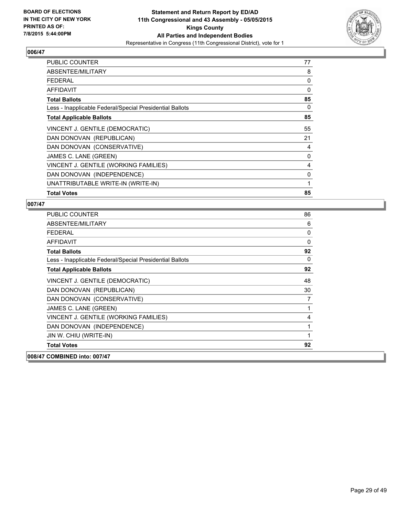

| PUBLIC COUNTER                                           | 77 |
|----------------------------------------------------------|----|
| ABSENTEE/MILITARY                                        | 8  |
| <b>FEDERAL</b>                                           | 0  |
| <b>AFFIDAVIT</b>                                         | 0  |
| <b>Total Ballots</b>                                     | 85 |
| Less - Inapplicable Federal/Special Presidential Ballots | 0  |
| <b>Total Applicable Ballots</b>                          | 85 |
| VINCENT J. GENTILE (DEMOCRATIC)                          | 55 |
| DAN DONOVAN (REPUBLICAN)                                 | 21 |
| DAN DONOVAN (CONSERVATIVE)                               | 4  |
| JAMES C. LANE (GREEN)                                    | 0  |
| VINCENT J. GENTILE (WORKING FAMILIES)                    | 4  |
| DAN DONOVAN (INDEPENDENCE)                               | 0  |
| UNATTRIBUTABLE WRITE-IN (WRITE-IN)                       | 1  |
| <b>Total Votes</b>                                       | 85 |

| <b>PUBLIC COUNTER</b>                                    | 86           |
|----------------------------------------------------------|--------------|
| ABSENTEE/MILITARY                                        | 6            |
| <b>FEDERAL</b>                                           | 0            |
| AFFIDAVIT                                                | $\mathbf{0}$ |
| <b>Total Ballots</b>                                     | 92           |
| Less - Inapplicable Federal/Special Presidential Ballots | 0            |
| <b>Total Applicable Ballots</b>                          | 92           |
| VINCENT J. GENTILE (DEMOCRATIC)                          | 48           |
| DAN DONOVAN (REPUBLICAN)                                 | 30           |
| DAN DONOVAN (CONSERVATIVE)                               | 7            |
| JAMES C. LANE (GREEN)                                    | 1            |
| VINCENT J. GENTILE (WORKING FAMILIES)                    | 4            |
| DAN DONOVAN (INDEPENDENCE)                               | 1            |
| JIN W. CHIU (WRITE-IN)                                   | 1            |
| <b>Total Votes</b>                                       | 92           |
| 008/47 COMBINED into: 007/47                             |              |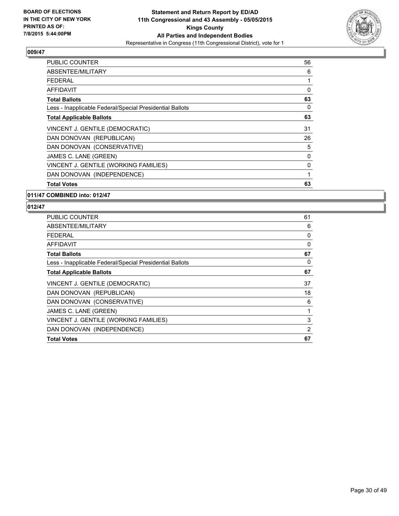

| <b>PUBLIC COUNTER</b>                                    | 56 |
|----------------------------------------------------------|----|
| ABSENTEE/MILITARY                                        | 6  |
| <b>FEDERAL</b>                                           | 1  |
| AFFIDAVIT                                                | 0  |
| <b>Total Ballots</b>                                     | 63 |
| Less - Inapplicable Federal/Special Presidential Ballots | 0  |
| <b>Total Applicable Ballots</b>                          | 63 |
| VINCENT J. GENTILE (DEMOCRATIC)                          | 31 |
| DAN DONOVAN (REPUBLICAN)                                 | 26 |
| DAN DONOVAN (CONSERVATIVE)                               | 5  |
| JAMES C. LANE (GREEN)                                    | 0  |
| VINCENT J. GENTILE (WORKING FAMILIES)                    | 0  |
| DAN DONOVAN (INDEPENDENCE)                               | 1  |
| <b>Total Votes</b>                                       | 63 |

#### **011/47 COMBINED into: 012/47**

| <b>PUBLIC COUNTER</b>                                    | 61       |
|----------------------------------------------------------|----------|
| ABSENTEE/MILITARY                                        | 6        |
| FEDERAL                                                  | 0        |
| AFFIDAVIT                                                | $\Omega$ |
| <b>Total Ballots</b>                                     | 67       |
| Less - Inapplicable Federal/Special Presidential Ballots | 0        |
| <b>Total Applicable Ballots</b>                          | 67       |
| VINCENT J. GENTILE (DEMOCRATIC)                          | 37       |
| DAN DONOVAN (REPUBLICAN)                                 | 18       |
| DAN DONOVAN (CONSERVATIVE)                               | 6        |
| JAMES C. LANE (GREEN)                                    | 1        |
| VINCENT J. GENTILE (WORKING FAMILIES)                    | 3        |
| DAN DONOVAN (INDEPENDENCE)                               | 2        |
| <b>Total Votes</b>                                       | 67       |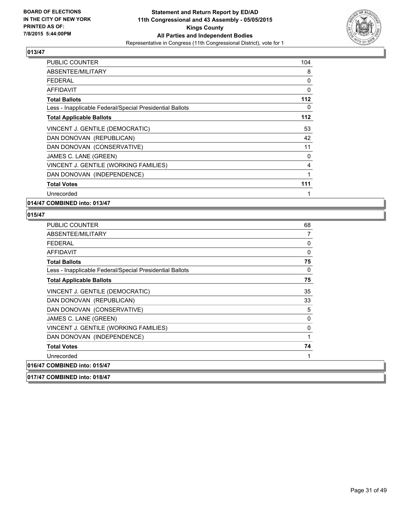

| <b>PUBLIC COUNTER</b>                                    | 104 |
|----------------------------------------------------------|-----|
| ABSENTEE/MILITARY                                        | 8   |
| <b>FEDERAL</b>                                           | 0   |
| AFFIDAVIT                                                | 0   |
| <b>Total Ballots</b>                                     | 112 |
| Less - Inapplicable Federal/Special Presidential Ballots | 0   |
| <b>Total Applicable Ballots</b>                          | 112 |
| VINCENT J. GENTILE (DEMOCRATIC)                          | 53  |
| DAN DONOVAN (REPUBLICAN)                                 | 42  |
| DAN DONOVAN (CONSERVATIVE)                               | 11  |
| JAMES C. LANE (GREEN)                                    | 0   |
| VINCENT J. GENTILE (WORKING FAMILIES)                    | 4   |
| DAN DONOVAN (INDEPENDENCE)                               | 1   |
| <b>Total Votes</b>                                       | 111 |
| Unrecorded                                               | 1   |

**014/47 COMBINED into: 013/47**

| PUBLIC COUNTER                                           | 68           |
|----------------------------------------------------------|--------------|
| ABSENTEE/MILITARY                                        | 7            |
| <b>FEDERAL</b>                                           | 0            |
| <b>AFFIDAVIT</b>                                         | $\mathbf{0}$ |
| <b>Total Ballots</b>                                     | 75           |
| Less - Inapplicable Federal/Special Presidential Ballots | 0            |
| <b>Total Applicable Ballots</b>                          | 75           |
| VINCENT J. GENTILE (DEMOCRATIC)                          | 35           |
| DAN DONOVAN (REPUBLICAN)                                 | 33           |
| DAN DONOVAN (CONSERVATIVE)                               | 5            |
| JAMES C. LANE (GREEN)                                    | 0            |
| VINCENT J. GENTILE (WORKING FAMILIES)                    | 0            |
| DAN DONOVAN (INDEPENDENCE)                               | 1            |
| <b>Total Votes</b>                                       | 74           |
| Unrecorded                                               | 1            |
| 016/47 COMBINED into: 015/47                             |              |
| 017/47 COMBINED into: 018/47                             |              |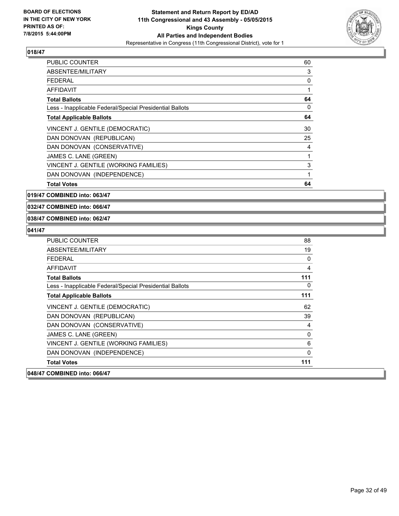

| <b>PUBLIC COUNTER</b>                                    | 60 |
|----------------------------------------------------------|----|
| ABSENTEE/MILITARY                                        | 3  |
| <b>FEDERAL</b>                                           | 0  |
| <b>AFFIDAVIT</b>                                         | 1  |
| <b>Total Ballots</b>                                     | 64 |
| Less - Inapplicable Federal/Special Presidential Ballots | 0  |
| <b>Total Applicable Ballots</b>                          | 64 |
| VINCENT J. GENTILE (DEMOCRATIC)                          | 30 |
| DAN DONOVAN (REPUBLICAN)                                 | 25 |
| DAN DONOVAN (CONSERVATIVE)                               | 4  |
| JAMES C. LANE (GREEN)                                    | 1  |
| VINCENT J. GENTILE (WORKING FAMILIES)                    | 3  |
| DAN DONOVAN (INDEPENDENCE)                               | 1  |
| <b>Total Votes</b>                                       | 64 |

**019/47 COMBINED into: 063/47**

**032/47 COMBINED into: 066/47**

#### **038/47 COMBINED into: 062/47**

| <b>PUBLIC COUNTER</b>                                    | 88  |
|----------------------------------------------------------|-----|
| ABSENTEE/MILITARY                                        | 19  |
| <b>FFDFRAI</b>                                           | 0   |
| <b>AFFIDAVIT</b>                                         | 4   |
| <b>Total Ballots</b>                                     | 111 |
| Less - Inapplicable Federal/Special Presidential Ballots | 0   |
| <b>Total Applicable Ballots</b>                          | 111 |
| VINCENT J. GENTILE (DEMOCRATIC)                          | 62  |
| DAN DONOVAN (REPUBLICAN)                                 | 39  |
| DAN DONOVAN (CONSERVATIVE)                               | 4   |
| JAMES C. LANE (GREEN)                                    | 0   |
| VINCENT J. GENTILE (WORKING FAMILIES)                    | 6   |
| DAN DONOVAN (INDEPENDENCE)                               | 0   |
| <b>Total Votes</b>                                       | 111 |
| 048/47 COMBINED into: 066/47                             |     |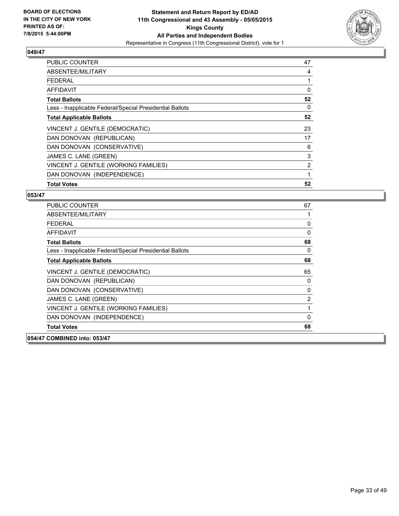

| <b>PUBLIC COUNTER</b>                                    | 47 |
|----------------------------------------------------------|----|
| ABSENTEE/MILITARY                                        | 4  |
| <b>FEDERAL</b>                                           |    |
| AFFIDAVIT                                                | 0  |
| <b>Total Ballots</b>                                     | 52 |
| Less - Inapplicable Federal/Special Presidential Ballots | 0  |
| <b>Total Applicable Ballots</b>                          | 52 |
| VINCENT J. GENTILE (DEMOCRATIC)                          | 23 |
| DAN DONOVAN (REPUBLICAN)                                 | 17 |
| DAN DONOVAN (CONSERVATIVE)                               | 6  |
| JAMES C. LANE (GREEN)                                    | 3  |
| VINCENT J. GENTILE (WORKING FAMILIES)                    | 2  |
| DAN DONOVAN (INDEPENDENCE)                               | 1  |
| <b>Total Votes</b>                                       | 52 |

| <b>PUBLIC COUNTER</b>                                    | 67           |
|----------------------------------------------------------|--------------|
| ABSENTEE/MILITARY                                        |              |
| <b>FEDERAL</b>                                           | 0            |
| <b>AFFIDAVIT</b>                                         | $\mathbf{0}$ |
| <b>Total Ballots</b>                                     | 68           |
| Less - Inapplicable Federal/Special Presidential Ballots | 0            |
| <b>Total Applicable Ballots</b>                          | 68           |
| VINCENT J. GENTILE (DEMOCRATIC)                          | 65           |
| DAN DONOVAN (REPUBLICAN)                                 | 0            |
| DAN DONOVAN (CONSERVATIVE)                               | 0            |
| JAMES C. LANE (GREEN)                                    | 2            |
| VINCENT J. GENTILE (WORKING FAMILIES)                    |              |
| DAN DONOVAN (INDEPENDENCE)                               | $\Omega$     |
| <b>Total Votes</b>                                       | 68           |
| 054/47 COMBINED into: 053/47                             |              |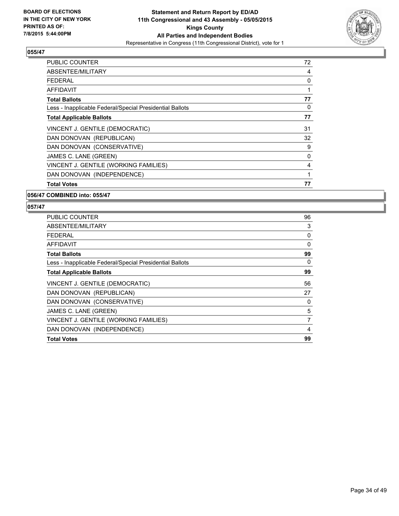

| <b>PUBLIC COUNTER</b>                                    | 72 |
|----------------------------------------------------------|----|
| ABSENTEE/MILITARY                                        | 4  |
| <b>FEDERAL</b>                                           | 0  |
| AFFIDAVIT                                                |    |
| <b>Total Ballots</b>                                     | 77 |
| Less - Inapplicable Federal/Special Presidential Ballots | 0  |
| <b>Total Applicable Ballots</b>                          | 77 |
| VINCENT J. GENTILE (DEMOCRATIC)                          | 31 |
| DAN DONOVAN (REPUBLICAN)                                 | 32 |
| DAN DONOVAN (CONSERVATIVE)                               | 9  |
| JAMES C. LANE (GREEN)                                    | 0  |
| VINCENT J. GENTILE (WORKING FAMILIES)                    | 4  |
| DAN DONOVAN (INDEPENDENCE)                               | 1  |
| <b>Total Votes</b>                                       | 77 |

#### **056/47 COMBINED into: 055/47**

| <b>PUBLIC COUNTER</b>                                    | 96 |
|----------------------------------------------------------|----|
| ABSENTEE/MILITARY                                        | 3  |
| <b>FEDERAL</b>                                           | 0  |
| AFFIDAVIT                                                | 0  |
| <b>Total Ballots</b>                                     | 99 |
| Less - Inapplicable Federal/Special Presidential Ballots | 0  |
| <b>Total Applicable Ballots</b>                          | 99 |
| VINCENT J. GENTILE (DEMOCRATIC)                          | 56 |
| DAN DONOVAN (REPUBLICAN)                                 | 27 |
| DAN DONOVAN (CONSERVATIVE)                               | 0  |
| JAMES C. LANE (GREEN)                                    | 5  |
| VINCENT J. GENTILE (WORKING FAMILIES)                    | 7  |
| DAN DONOVAN (INDEPENDENCE)                               | 4  |
| <b>Total Votes</b>                                       | 99 |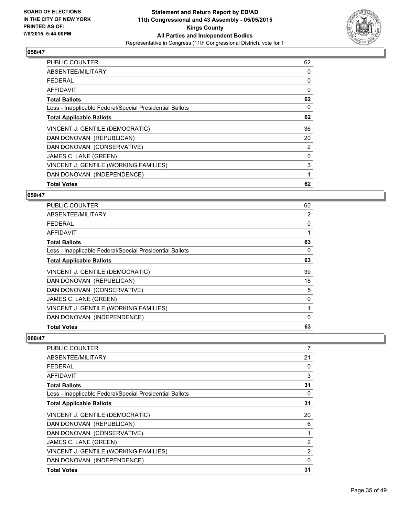

| <b>PUBLIC COUNTER</b>                                    | 62 |
|----------------------------------------------------------|----|
| ABSENTEE/MILITARY                                        | 0  |
| <b>FEDERAL</b>                                           | 0  |
| AFFIDAVIT                                                | 0  |
| <b>Total Ballots</b>                                     | 62 |
| Less - Inapplicable Federal/Special Presidential Ballots | 0  |
| <b>Total Applicable Ballots</b>                          | 62 |
| VINCENT J. GENTILE (DEMOCRATIC)                          | 36 |
| DAN DONOVAN (REPUBLICAN)                                 | 20 |
| DAN DONOVAN (CONSERVATIVE)                               | 2  |
| JAMES C. LANE (GREEN)                                    | 0  |
| VINCENT J. GENTILE (WORKING FAMILIES)                    | 3  |
| DAN DONOVAN (INDEPENDENCE)                               | 1  |
| <b>Total Votes</b>                                       | 62 |

#### **059/47**

| <b>PUBLIC COUNTER</b>                                    | 60       |
|----------------------------------------------------------|----------|
| ABSENTEE/MILITARY                                        | 2        |
| <b>FEDERAL</b>                                           | 0        |
| <b>AFFIDAVIT</b>                                         |          |
| <b>Total Ballots</b>                                     | 63       |
| Less - Inapplicable Federal/Special Presidential Ballots | 0        |
| <b>Total Applicable Ballots</b>                          | 63       |
| VINCENT J. GENTILE (DEMOCRATIC)                          | 39       |
| DAN DONOVAN (REPUBLICAN)                                 | 18       |
| DAN DONOVAN (CONSERVATIVE)                               | 5        |
| JAMES C. LANE (GREEN)                                    | 0        |
| VINCENT J. GENTILE (WORKING FAMILIES)                    |          |
| DAN DONOVAN (INDEPENDENCE)                               | $\Omega$ |
| <b>Total Votes</b>                                       | 63       |

| <b>PUBLIC COUNTER</b>                                    | 7  |
|----------------------------------------------------------|----|
| ABSENTEE/MILITARY                                        | 21 |
| <b>FEDERAL</b>                                           | 0  |
| AFFIDAVIT                                                | 3  |
| <b>Total Ballots</b>                                     | 31 |
| Less - Inapplicable Federal/Special Presidential Ballots | 0  |
| <b>Total Applicable Ballots</b>                          | 31 |
| VINCENT J. GENTILE (DEMOCRATIC)                          | 20 |
| DAN DONOVAN (REPUBLICAN)                                 | 6  |
| DAN DONOVAN (CONSERVATIVE)                               | 1  |
| JAMES C. LANE (GREEN)                                    | 2  |
| VINCENT J. GENTILE (WORKING FAMILIES)                    | 2  |
| DAN DONOVAN (INDEPENDENCE)                               | 0  |
| <b>Total Votes</b>                                       | 31 |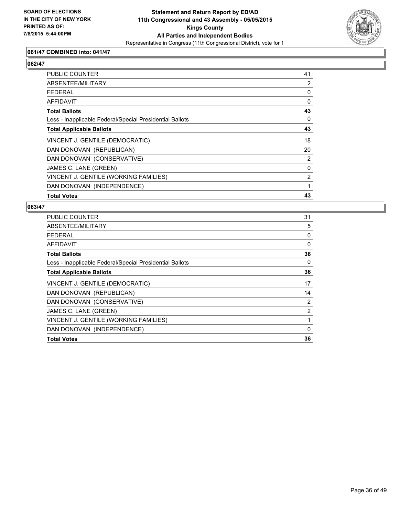

## **061/47 COMBINED into: 041/47**

# **062/47**

| <b>PUBLIC COUNTER</b>                                    | 41 |
|----------------------------------------------------------|----|
| ABSENTEE/MILITARY                                        | 2  |
| <b>FEDERAL</b>                                           | 0  |
| AFFIDAVIT                                                | 0  |
| <b>Total Ballots</b>                                     | 43 |
| Less - Inapplicable Federal/Special Presidential Ballots | 0  |
| <b>Total Applicable Ballots</b>                          | 43 |
| VINCENT J. GENTILE (DEMOCRATIC)                          | 18 |
| DAN DONOVAN (REPUBLICAN)                                 | 20 |
| DAN DONOVAN (CONSERVATIVE)                               | 2  |
| JAMES C. LANE (GREEN)                                    | 0  |
| VINCENT J. GENTILE (WORKING FAMILIES)                    | 2  |
| DAN DONOVAN (INDEPENDENCE)                               | 1  |
| <b>Total Votes</b>                                       | 43 |

| <b>PUBLIC COUNTER</b>                                    | 31             |
|----------------------------------------------------------|----------------|
| ABSENTEE/MILITARY                                        | 5              |
| FEDERAL                                                  | 0              |
| AFFIDAVIT                                                | $\Omega$       |
| <b>Total Ballots</b>                                     | 36             |
| Less - Inapplicable Federal/Special Presidential Ballots | 0              |
| <b>Total Applicable Ballots</b>                          | 36             |
| VINCENT J. GENTILE (DEMOCRATIC)                          | 17             |
| DAN DONOVAN (REPUBLICAN)                                 | 14             |
| DAN DONOVAN (CONSERVATIVE)                               | 2              |
| JAMES C. LANE (GREEN)                                    | $\overline{2}$ |
| VINCENT J. GENTILE (WORKING FAMILIES)                    | 1              |
| DAN DONOVAN (INDEPENDENCE)                               | 0              |
| <b>Total Votes</b>                                       | 36             |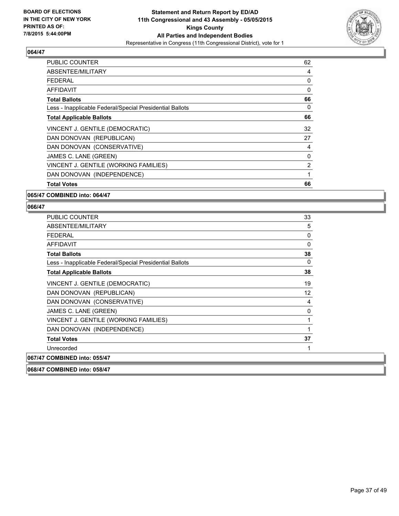

| <b>PUBLIC COUNTER</b>                                    | 62 |
|----------------------------------------------------------|----|
| ABSENTEE/MILITARY                                        | 4  |
| <b>FEDERAL</b>                                           | 0  |
| AFFIDAVIT                                                | 0  |
| <b>Total Ballots</b>                                     | 66 |
| Less - Inapplicable Federal/Special Presidential Ballots | 0  |
| <b>Total Applicable Ballots</b>                          | 66 |
| VINCENT J. GENTILE (DEMOCRATIC)                          | 32 |
| DAN DONOVAN (REPUBLICAN)                                 | 27 |
| DAN DONOVAN (CONSERVATIVE)                               | 4  |
| JAMES C. LANE (GREEN)                                    | 0  |
| VINCENT J. GENTILE (WORKING FAMILIES)                    | 2  |
| DAN DONOVAN (INDEPENDENCE)                               | 1  |
| <b>Total Votes</b>                                       | 66 |

#### **065/47 COMBINED into: 064/47**

| <b>PUBLIC COUNTER</b>                                    | 33                |
|----------------------------------------------------------|-------------------|
| ABSENTEE/MILITARY                                        | 5                 |
| <b>FEDERAL</b>                                           | 0                 |
| AFFIDAVIT                                                | 0                 |
| <b>Total Ballots</b>                                     | 38                |
| Less - Inapplicable Federal/Special Presidential Ballots | $\mathbf{0}$      |
| <b>Total Applicable Ballots</b>                          | 38                |
| VINCENT J. GENTILE (DEMOCRATIC)                          | 19                |
| DAN DONOVAN (REPUBLICAN)                                 | $12 \overline{ }$ |
| DAN DONOVAN (CONSERVATIVE)                               | 4                 |
| JAMES C. LANE (GREEN)                                    | 0                 |
| VINCENT J. GENTILE (WORKING FAMILIES)                    | 1                 |
| DAN DONOVAN (INDEPENDENCE)                               | 1                 |
| <b>Total Votes</b>                                       | 37                |
| Unrecorded                                               | 1                 |
| 067/47 COMBINED into: 055/47                             |                   |
| 068/47 COMBINED into: 058/47                             |                   |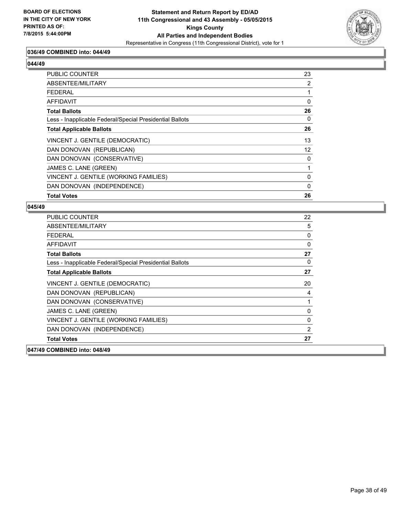

## **036/49 COMBINED into: 044/49**

#### **044/49**

| PUBLIC COUNTER                                           | 23 |
|----------------------------------------------------------|----|
| ABSENTEE/MILITARY                                        | 2  |
| <b>FEDERAL</b>                                           |    |
| AFFIDAVIT                                                | 0  |
| <b>Total Ballots</b>                                     | 26 |
| Less - Inapplicable Federal/Special Presidential Ballots | 0  |
| <b>Total Applicable Ballots</b>                          | 26 |
| VINCENT J. GENTILE (DEMOCRATIC)                          | 13 |
| DAN DONOVAN (REPUBLICAN)                                 | 12 |
| DAN DONOVAN (CONSERVATIVE)                               | 0  |
| JAMES C. LANE (GREEN)                                    |    |
| VINCENT J. GENTILE (WORKING FAMILIES)                    | 0  |
| DAN DONOVAN (INDEPENDENCE)                               | 0  |
| <b>Total Votes</b>                                       | 26 |

| <b>PUBLIC COUNTER</b>                                    | 22 |
|----------------------------------------------------------|----|
| ABSENTEE/MILITARY                                        | 5  |
| FFDFRAI                                                  | 0  |
| <b>AFFIDAVIT</b>                                         | 0  |
| <b>Total Ballots</b>                                     | 27 |
| Less - Inapplicable Federal/Special Presidential Ballots | 0  |
| <b>Total Applicable Ballots</b>                          | 27 |
| VINCENT J. GENTILE (DEMOCRATIC)                          | 20 |
| DAN DONOVAN (REPUBLICAN)                                 | 4  |
| DAN DONOVAN (CONSERVATIVE)                               | 1  |
| JAMES C. LANE (GREEN)                                    | 0  |
| VINCENT J. GENTILE (WORKING FAMILIES)                    | 0  |
| DAN DONOVAN (INDEPENDENCE)                               | 2  |
| <b>Total Votes</b>                                       | 27 |
| 047/49 COMBINED into: 048/49                             |    |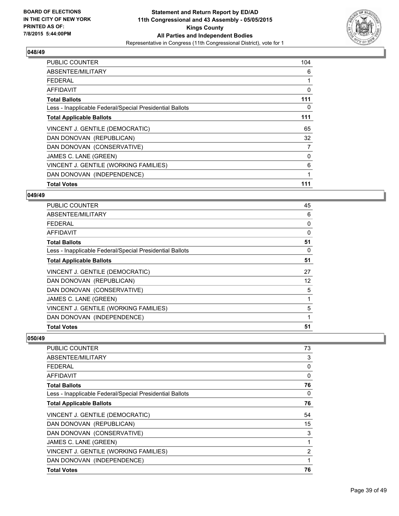

| PUBLIC COUNTER                                           | 104 |
|----------------------------------------------------------|-----|
| ABSENTEE/MILITARY                                        | 6   |
| <b>FEDERAL</b>                                           |     |
| <b>AFFIDAVIT</b>                                         | 0   |
| <b>Total Ballots</b>                                     | 111 |
| Less - Inapplicable Federal/Special Presidential Ballots | 0   |
| <b>Total Applicable Ballots</b>                          | 111 |
| VINCENT J. GENTILE (DEMOCRATIC)                          | 65  |
| DAN DONOVAN (REPUBLICAN)                                 | 32  |
| DAN DONOVAN (CONSERVATIVE)                               | 7   |
| JAMES C. LANE (GREEN)                                    | 0   |
| VINCENT J. GENTILE (WORKING FAMILIES)                    | 6   |
| DAN DONOVAN (INDEPENDENCE)                               | 1   |
| <b>Total Votes</b>                                       | 111 |

#### **049/49**

| <b>PUBLIC COUNTER</b>                                    | 45       |
|----------------------------------------------------------|----------|
| ABSENTEE/MILITARY                                        | 6        |
| <b>FEDERAL</b>                                           | 0        |
| <b>AFFIDAVIT</b>                                         | $\Omega$ |
| <b>Total Ballots</b>                                     | 51       |
| Less - Inapplicable Federal/Special Presidential Ballots | 0        |
| <b>Total Applicable Ballots</b>                          | 51       |
| VINCENT J. GENTILE (DEMOCRATIC)                          | 27       |
| DAN DONOVAN (REPUBLICAN)                                 | 12       |
| DAN DONOVAN (CONSERVATIVE)                               | 5        |
| JAMES C. LANE (GREEN)                                    |          |
| VINCENT J. GENTILE (WORKING FAMILIES)                    | 5        |
| DAN DONOVAN (INDEPENDENCE)                               |          |
| <b>Total Votes</b>                                       | 51       |

| <b>PUBLIC COUNTER</b>                                    | 73 |
|----------------------------------------------------------|----|
| ABSENTEE/MILITARY                                        | 3  |
| <b>FEDERAL</b>                                           | 0  |
| AFFIDAVIT                                                | 0  |
| <b>Total Ballots</b>                                     | 76 |
| Less - Inapplicable Federal/Special Presidential Ballots | 0  |
| <b>Total Applicable Ballots</b>                          | 76 |
| VINCENT J. GENTILE (DEMOCRATIC)                          | 54 |
| DAN DONOVAN (REPUBLICAN)                                 | 15 |
| DAN DONOVAN (CONSERVATIVE)                               | 3  |
| JAMES C. LANE (GREEN)                                    | 1  |
| VINCENT J. GENTILE (WORKING FAMILIES)                    | 2  |
| DAN DONOVAN (INDEPENDENCE)                               | 1  |
| <b>Total Votes</b>                                       | 76 |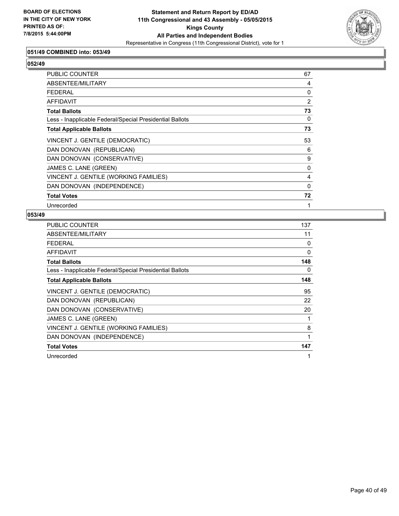

## **051/49 COMBINED into: 053/49**

# **052/49**

| PUBLIC COUNTER                                           | 67       |
|----------------------------------------------------------|----------|
| ABSENTEE/MILITARY                                        | 4        |
| <b>FEDERAL</b>                                           | 0        |
| AFFIDAVIT                                                | 2        |
| <b>Total Ballots</b>                                     | 73       |
| Less - Inapplicable Federal/Special Presidential Ballots | 0        |
| <b>Total Applicable Ballots</b>                          | 73       |
| VINCENT J. GENTILE (DEMOCRATIC)                          | 53       |
| DAN DONOVAN (REPUBLICAN)                                 | 6        |
| DAN DONOVAN (CONSERVATIVE)                               | 9        |
| JAMES C. LANE (GREEN)                                    | 0        |
| VINCENT J. GENTILE (WORKING FAMILIES)                    | 4        |
| DAN DONOVAN (INDEPENDENCE)                               | $\Omega$ |
| <b>Total Votes</b>                                       | 72       |
| Unrecorded                                               | 1        |

| PUBLIC COUNTER                                           | 137 |
|----------------------------------------------------------|-----|
| ABSENTEE/MILITARY                                        | 11  |
| <b>FEDERAL</b>                                           | 0   |
| <b>AFFIDAVIT</b>                                         | 0   |
| <b>Total Ballots</b>                                     | 148 |
| Less - Inapplicable Federal/Special Presidential Ballots | 0   |
| <b>Total Applicable Ballots</b>                          | 148 |
| VINCENT J. GENTILE (DEMOCRATIC)                          | 95  |
| DAN DONOVAN (REPUBLICAN)                                 | 22  |
| DAN DONOVAN (CONSERVATIVE)                               | 20  |
| JAMES C. LANE (GREEN)                                    | 1   |
| VINCENT J. GENTILE (WORKING FAMILIES)                    | 8   |
| DAN DONOVAN (INDEPENDENCE)                               | 1   |
| <b>Total Votes</b>                                       | 147 |
| Unrecorded                                               | 1   |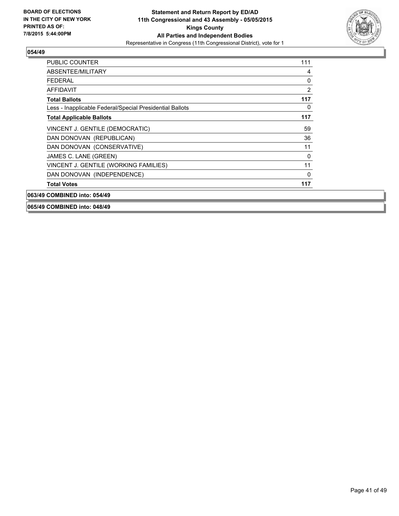

| <b>PUBLIC COUNTER</b>                                    | 111      |
|----------------------------------------------------------|----------|
| ABSENTEE/MILITARY                                        | 4        |
| <b>FFDFRAL</b>                                           | 0        |
| <b>AFFIDAVIT</b>                                         | 2        |
| <b>Total Ballots</b>                                     | 117      |
| Less - Inapplicable Federal/Special Presidential Ballots | 0        |
| <b>Total Applicable Ballots</b>                          | 117      |
| VINCENT J. GENTILE (DEMOCRATIC)                          | 59       |
| DAN DONOVAN (REPUBLICAN)                                 | 36       |
| DAN DONOVAN (CONSERVATIVE)                               | 11       |
| JAMES C. LANE (GREEN)                                    | $\Omega$ |
| VINCENT J. GENTILE (WORKING FAMILIES)                    | 11       |
| DAN DONOVAN (INDEPENDENCE)                               | 0        |
| <b>Total Votes</b>                                       | 117      |
| 063/49 COMBINED into: 054/49                             |          |

**065/49 COMBINED into: 048/49**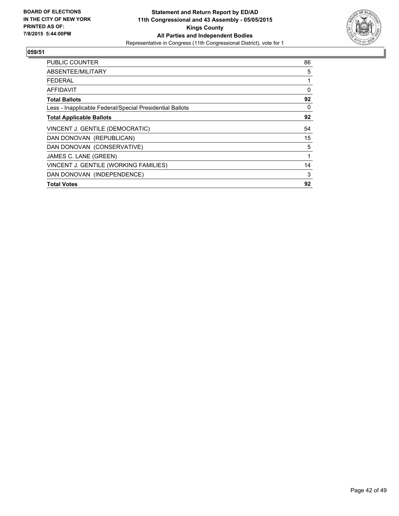

| <b>PUBLIC COUNTER</b>                                    | 86 |
|----------------------------------------------------------|----|
| ABSENTEE/MILITARY                                        | 5  |
| <b>FEDERAL</b>                                           | 1  |
| AFFIDAVIT                                                | 0  |
| <b>Total Ballots</b>                                     | 92 |
| Less - Inapplicable Federal/Special Presidential Ballots | 0  |
| <b>Total Applicable Ballots</b>                          | 92 |
| VINCENT J. GENTILE (DEMOCRATIC)                          | 54 |
| DAN DONOVAN (REPUBLICAN)                                 | 15 |
| DAN DONOVAN (CONSERVATIVE)                               | 5  |
| JAMES C. LANE (GREEN)                                    | 1  |
| VINCENT J. GENTILE (WORKING FAMILIES)                    | 14 |
| DAN DONOVAN (INDEPENDENCE)                               | 3  |
| <b>Total Votes</b>                                       | 92 |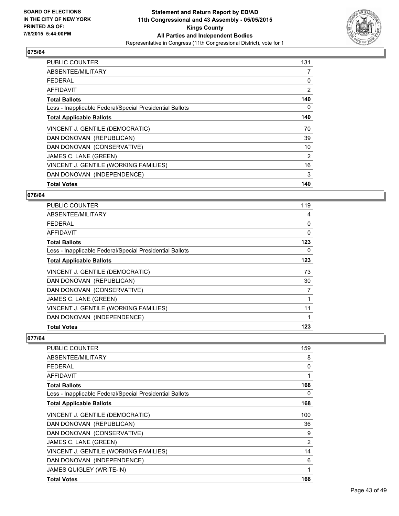

| <b>PUBLIC COUNTER</b>                                    | 131 |
|----------------------------------------------------------|-----|
| ABSENTEE/MILITARY                                        | 7   |
| <b>FEDERAL</b>                                           | 0   |
| AFFIDAVIT                                                | 2   |
| <b>Total Ballots</b>                                     | 140 |
| Less - Inapplicable Federal/Special Presidential Ballots | 0   |
| <b>Total Applicable Ballots</b>                          | 140 |
| VINCENT J. GENTILE (DEMOCRATIC)                          | 70  |
| DAN DONOVAN (REPUBLICAN)                                 | 39  |
| DAN DONOVAN (CONSERVATIVE)                               | 10  |
| JAMES C. LANE (GREEN)                                    | 2   |
| VINCENT J. GENTILE (WORKING FAMILIES)                    | 16  |
| DAN DONOVAN (INDEPENDENCE)                               | 3   |
| <b>Total Votes</b>                                       | 140 |

#### **076/64**

| PUBLIC COUNTER                                           | 119      |
|----------------------------------------------------------|----------|
| ABSENTEE/MILITARY                                        | 4        |
| <b>FEDERAL</b>                                           | 0        |
| <b>AFFIDAVIT</b>                                         | $\Omega$ |
| <b>Total Ballots</b>                                     | 123      |
| Less - Inapplicable Federal/Special Presidential Ballots | 0        |
| <b>Total Applicable Ballots</b>                          | 123      |
| VINCENT J. GENTILE (DEMOCRATIC)                          | 73       |
| DAN DONOVAN (REPUBLICAN)                                 | 30       |
| DAN DONOVAN (CONSERVATIVE)                               | 7        |
| JAMES C. LANE (GREEN)                                    |          |
| VINCENT J. GENTILE (WORKING FAMILIES)                    | 11       |
| DAN DONOVAN (INDEPENDENCE)                               |          |
| <b>Total Votes</b>                                       | 123      |

| PUBLIC COUNTER                                           | 159            |
|----------------------------------------------------------|----------------|
| ABSENTEE/MILITARY                                        | 8              |
| <b>FEDERAL</b>                                           | 0              |
| AFFIDAVIT                                                | 1              |
| <b>Total Ballots</b>                                     | 168            |
| Less - Inapplicable Federal/Special Presidential Ballots | 0              |
| <b>Total Applicable Ballots</b>                          | 168            |
| VINCENT J. GENTILE (DEMOCRATIC)                          | 100            |
| DAN DONOVAN (REPUBLICAN)                                 | 36             |
| DAN DONOVAN (CONSERVATIVE)                               | 9              |
| JAMES C. LANE (GREEN)                                    | $\overline{2}$ |
| VINCENT J. GENTILE (WORKING FAMILIES)                    | 14             |
| DAN DONOVAN (INDEPENDENCE)                               | 6              |
| <b>JAMES QUIGLEY (WRITE-IN)</b>                          | 1              |
| <b>Total Votes</b>                                       | 168            |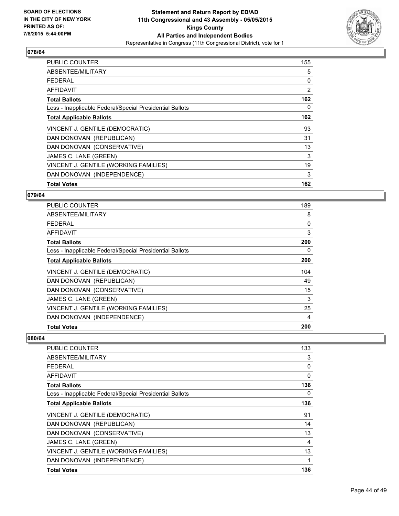

| <b>PUBLIC COUNTER</b>                                    | 155 |
|----------------------------------------------------------|-----|
| ABSENTEE/MILITARY                                        | 5   |
| <b>FEDERAL</b>                                           | 0   |
| AFFIDAVIT                                                | 2   |
| <b>Total Ballots</b>                                     | 162 |
| Less - Inapplicable Federal/Special Presidential Ballots | 0   |
| <b>Total Applicable Ballots</b>                          | 162 |
| VINCENT J. GENTILE (DEMOCRATIC)                          | 93  |
| DAN DONOVAN (REPUBLICAN)                                 | 31  |
| DAN DONOVAN (CONSERVATIVE)                               | 13  |
| JAMES C. LANE (GREEN)                                    | 3   |
| VINCENT J. GENTILE (WORKING FAMILIES)                    | 19  |
| DAN DONOVAN (INDEPENDENCE)                               | 3   |
| <b>Total Votes</b>                                       | 162 |

#### **079/64**

| <b>PUBLIC COUNTER</b>                                    | 189 |
|----------------------------------------------------------|-----|
| ABSENTEE/MILITARY                                        | 8   |
| <b>FEDERAL</b>                                           | 0   |
| AFFIDAVIT                                                | 3   |
| <b>Total Ballots</b>                                     | 200 |
| Less - Inapplicable Federal/Special Presidential Ballots | 0   |
| <b>Total Applicable Ballots</b>                          | 200 |
| VINCENT J. GENTILE (DEMOCRATIC)                          | 104 |
| DAN DONOVAN (REPUBLICAN)                                 | 49  |
| DAN DONOVAN (CONSERVATIVE)                               | 15  |
| JAMES C. LANE (GREEN)                                    | 3   |
| VINCENT J. GENTILE (WORKING FAMILIES)                    | 25  |
| DAN DONOVAN (INDEPENDENCE)                               | 4   |
| <b>Total Votes</b>                                       | 200 |

| <b>PUBLIC COUNTER</b>                                    | 133      |
|----------------------------------------------------------|----------|
| ABSENTEE/MILITARY                                        | 3        |
| <b>FEDERAL</b>                                           | 0        |
| <b>AFFIDAVIT</b>                                         | $\Omega$ |
| <b>Total Ballots</b>                                     | 136      |
| Less - Inapplicable Federal/Special Presidential Ballots | 0        |
| <b>Total Applicable Ballots</b>                          | 136      |
| VINCENT J. GENTILE (DEMOCRATIC)                          | 91       |
| DAN DONOVAN (REPUBLICAN)                                 | 14       |
| DAN DONOVAN (CONSERVATIVE)                               | 13       |
| JAMES C. LANE (GREEN)                                    | 4        |
| VINCENT J. GENTILE (WORKING FAMILIES)                    | 13       |
| DAN DONOVAN (INDEPENDENCE)                               | 1        |
| <b>Total Votes</b>                                       | 136      |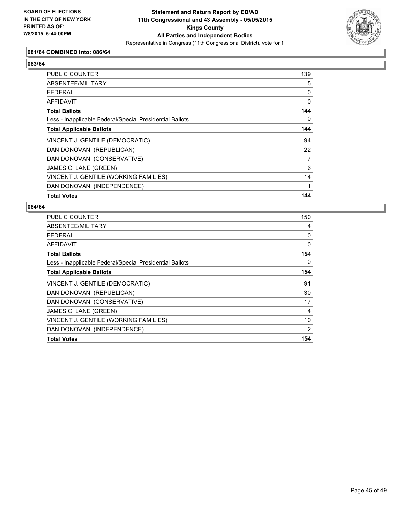

## **081/64 COMBINED into: 086/64**

# **083/64**

| PUBLIC COUNTER                                           | 139 |
|----------------------------------------------------------|-----|
| ABSENTEE/MILITARY                                        | 5   |
| <b>FEDERAL</b>                                           | 0   |
| AFFIDAVIT                                                | 0   |
| <b>Total Ballots</b>                                     | 144 |
| Less - Inapplicable Federal/Special Presidential Ballots | 0   |
| <b>Total Applicable Ballots</b>                          | 144 |
| VINCENT J. GENTILE (DEMOCRATIC)                          | 94  |
| DAN DONOVAN (REPUBLICAN)                                 | 22  |
| DAN DONOVAN (CONSERVATIVE)                               | 7   |
| JAMES C. LANE (GREEN)                                    | 6   |
| VINCENT J. GENTILE (WORKING FAMILIES)                    | 14  |
| DAN DONOVAN (INDEPENDENCE)                               |     |
| <b>Total Votes</b>                                       | 144 |

| <b>PUBLIC COUNTER</b>                                    | 150 |
|----------------------------------------------------------|-----|
| ABSENTEE/MILITARY                                        | 4   |
| <b>FEDERAL</b>                                           | 0   |
| AFFIDAVIT                                                | 0   |
| <b>Total Ballots</b>                                     | 154 |
| Less - Inapplicable Federal/Special Presidential Ballots | 0   |
| <b>Total Applicable Ballots</b>                          | 154 |
| VINCENT J. GENTILE (DEMOCRATIC)                          | 91  |
| DAN DONOVAN (REPUBLICAN)                                 | 30  |
| DAN DONOVAN (CONSERVATIVE)                               | 17  |
| JAMES C. LANE (GREEN)                                    | 4   |
| VINCENT J. GENTILE (WORKING FAMILIES)                    | 10  |
| DAN DONOVAN (INDEPENDENCE)                               | 2   |
| <b>Total Votes</b>                                       | 154 |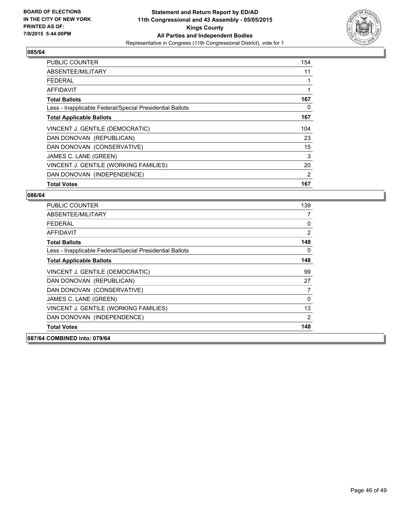

| <b>PUBLIC COUNTER</b>                                    | 154 |
|----------------------------------------------------------|-----|
| ABSENTEE/MILITARY                                        | 11  |
| <b>FEDERAL</b>                                           |     |
| AFFIDAVIT                                                | 1   |
| <b>Total Ballots</b>                                     | 167 |
| Less - Inapplicable Federal/Special Presidential Ballots | 0   |
| <b>Total Applicable Ballots</b>                          | 167 |
| VINCENT J. GENTILE (DEMOCRATIC)                          | 104 |
| DAN DONOVAN (REPUBLICAN)                                 | 23  |
| DAN DONOVAN (CONSERVATIVE)                               | 15  |
| JAMES C. LANE (GREEN)                                    | 3   |
| VINCENT J. GENTILE (WORKING FAMILIES)                    | 20  |
| DAN DONOVAN (INDEPENDENCE)                               | 2   |
| <b>Total Votes</b>                                       | 167 |

| <b>PUBLIC COUNTER</b>                                    | 139 |
|----------------------------------------------------------|-----|
| ABSENTEE/MILITARY                                        | 7   |
| FFDFRAI                                                  | 0   |
| <b>AFFIDAVIT</b>                                         | 2   |
| <b>Total Ballots</b>                                     | 148 |
| Less - Inapplicable Federal/Special Presidential Ballots | 0   |
| <b>Total Applicable Ballots</b>                          | 148 |
| VINCENT J. GENTILE (DEMOCRATIC)                          | 99  |
| DAN DONOVAN (REPUBLICAN)                                 | 27  |
| DAN DONOVAN (CONSERVATIVE)                               | 7   |
| JAMES C. LANE (GREEN)                                    | 0   |
| VINCENT J. GENTILE (WORKING FAMILIES)                    | 13  |
| DAN DONOVAN (INDEPENDENCE)                               | 2   |
| <b>Total Votes</b>                                       | 148 |
| 087/64 COMBINED into: 079/64                             |     |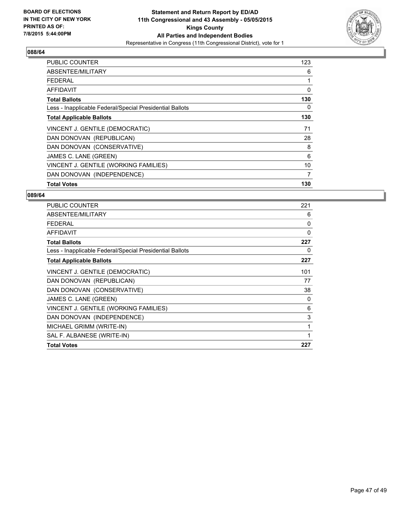

| PUBLIC COUNTER                                           | 123 |
|----------------------------------------------------------|-----|
| ABSENTEE/MILITARY                                        | 6   |
| <b>FEDERAL</b>                                           | 1   |
| <b>AFFIDAVIT</b>                                         | 0   |
| <b>Total Ballots</b>                                     | 130 |
| Less - Inapplicable Federal/Special Presidential Ballots | 0   |
| <b>Total Applicable Ballots</b>                          | 130 |
| VINCENT J. GENTILE (DEMOCRATIC)                          | 71  |
| DAN DONOVAN (REPUBLICAN)                                 | 28  |
| DAN DONOVAN (CONSERVATIVE)                               | 8   |
| JAMES C. LANE (GREEN)                                    | 6   |
| VINCENT J. GENTILE (WORKING FAMILIES)                    | 10  |
| DAN DONOVAN (INDEPENDENCE)                               | 7   |
| <b>Total Votes</b>                                       | 130 |

| <b>PUBLIC COUNTER</b>                                    | 221 |
|----------------------------------------------------------|-----|
| ABSENTEE/MILITARY                                        | 6   |
| <b>FEDERAL</b>                                           | 0   |
| AFFIDAVIT                                                | 0   |
| <b>Total Ballots</b>                                     | 227 |
| Less - Inapplicable Federal/Special Presidential Ballots | 0   |
| <b>Total Applicable Ballots</b>                          | 227 |
| VINCENT J. GENTILE (DEMOCRATIC)                          | 101 |
| DAN DONOVAN (REPUBLICAN)                                 | 77  |
| DAN DONOVAN (CONSERVATIVE)                               | 38  |
| JAMES C. LANE (GREEN)                                    | 0   |
| VINCENT J. GENTILE (WORKING FAMILIES)                    | 6   |
| DAN DONOVAN (INDEPENDENCE)                               | 3   |
| MICHAEL GRIMM (WRITE-IN)                                 | 1   |
| SAL F. ALBANESE (WRITE-IN)                               | 1   |
| <b>Total Votes</b>                                       | 227 |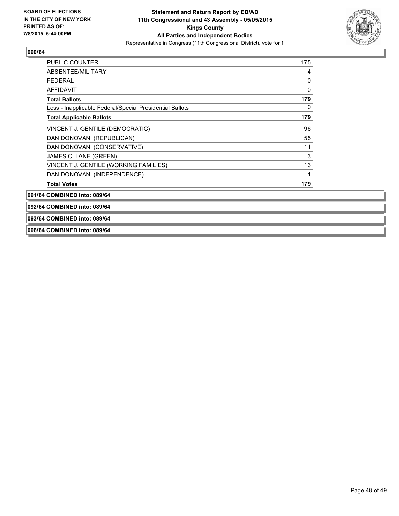

| <b>PUBLIC COUNTER</b>                                    | 175 |
|----------------------------------------------------------|-----|
| ABSENTEE/MILITARY                                        | 4   |
| FEDERAL                                                  | 0   |
| AFFIDAVIT                                                | 0   |
| <b>Total Ballots</b>                                     | 179 |
| Less - Inapplicable Federal/Special Presidential Ballots | 0   |
| <b>Total Applicable Ballots</b>                          | 179 |
| VINCENT J. GENTILE (DEMOCRATIC)                          | 96  |
| DAN DONOVAN (REPUBLICAN)                                 | 55  |
| DAN DONOVAN (CONSERVATIVE)                               | 11  |
| JAMES C. LANE (GREEN)                                    | 3   |
| VINCENT J. GENTILE (WORKING FAMILIES)                    | 13  |
| DAN DONOVAN (INDEPENDENCE)                               | 1   |
| <b>Total Votes</b>                                       | 179 |

**091/64 COMBINED into: 089/64**

**092/64 COMBINED into: 089/64**

#### **093/64 COMBINED into: 089/64**

**096/64 COMBINED into: 089/64**